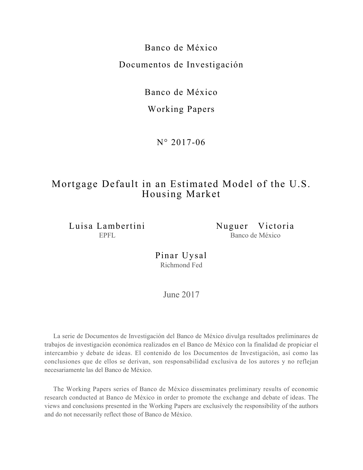Banco de México Documentos de Investigación

Banco de México

Working Papers

N° 2017-06

# Mortgage Default in an Estimated Model of the U.S. Housing Market

Luisa Lambertini EPFL

Nuguer Victoria Banco de México

Pinar Uysal Richmond Fed

June 2017

La serie de Documentos de Investigación del Banco de México divulga resultados preliminares de trabajos de investigación económica realizados en el Banco de México con la finalidad de propiciar el intercambio y debate de ideas. El contenido de los Documentos de Investigación, así como las conclusiones que de ellos se derivan, son responsabilidad exclusiva de los autores y no reflejan necesariamente las del Banco de México.

The Working Papers series of Banco de México disseminates preliminary results of economic research conducted at Banco de México in order to promote the exchange and debate of ideas. The views and conclusions presented in the Working Papers are exclusively the responsibility of the authors and do not necessarily reflect those of Banco de México.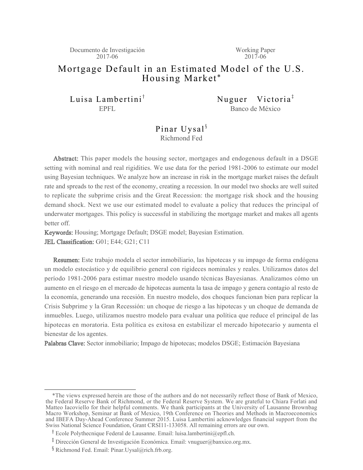Documento de Investigación 2017-06

Working Paper  $2017 - 06$ 

## Mortgage Default in an Estimated Model of the U.S. Housing Market\*

Luisa Lambertini<sup>†</sup> EPFL

Nuguer Victoria<sup>#</sup> Banco de México

## Pinar  $Uysal<sup>§</sup>$ Richmond Fed

Abstract: This paper models the housing sector, mortgages and endogenous default in a DSGE setting with nominal and real rigidities. We use data for the period 1981-2006 to estimate our model using Bayesian techniques. We analyze how an increase in risk in the mortgage market raises the default rate and spreads to the rest of the economy, creating a recession. In our model two shocks are well suited to replicate the subprime crisis and the Great Recession: the mortgage risk shock and the housing demand shock. Next we use our estimated model to evaluate a policy that reduces the principal of underwater mortgages. This policy is successful in stabilizing the mortgage market and makes all agents better off.

Keywords: Housing; Mortgage Default; DSGE model; Bayesian Estimation. JEL Classification: G01; E44; G21; C11

Resumen: Este trabajo modela el sector inmobiliario, las hipotecas y su impago de forma endógena un modelo estocástico y de equilibrio general con rigideces nominales y reales. Utilizamos datos del período 1981-2006 para estimar nuestro modelo usando técnicas Bayesianas. Analizamos cómo un aumento en el riesgo en el mercado de hipotecas aumenta la tasa de impago y genera contagio al resto de la economía, generando una recesión. En nuestro modelo, dos choques funcionan bien para replicar la Crisis Subprime y la Gran Recessión: un choque de riesgo a las hipotecas y un choque de demanda de inmuebles. Luego, utilizamos nuestro modelo para evaluar una política que reduce el principal de las hipotecas en moratoria. Esta política es exitosa en estabilizar el mercado hipotecario y aumenta el bienestar de los agentes.

Palabras Clave: Sector inmobiliario; Impago de hipotecas; modelos DSGE; Estimación Bayesiana

 <sup>\*</sup>The views expressed herein are those of the authors and do not necessarily reflect those of Bank of Mexico, the Federal Reserve Bank of Richmond, or the Federal Reserve System. We are grateful to Chiara Forlati and Matteo Iacoviello for their helpful comments. We thank participants at the University of Lausanne Brownbag Macro Workshop, Seminar at Bank of Mexico, 19th Conference on Theories and Methods in Macroeconomics and IBEFA Day-Ahead Conference Summer 2015. Luisa Lambertini acknowledges financial support from the Swiss National Science Foundation, Grant CRSI11-133058. All remaining errors are our own.

<sup>&</sup>lt;sup>T</sup> Ecole Polythecnique Federal de Lausanne. Email: luisa.lambertini@epfl.ch.

<sup>&</sup>lt;sup>‡</sup> Dirección General de Investigación Económica. Email: vnuguer@banxico.org.mx.

<sup>&</sup>lt;sup>3</sup> Richmond Fed. Email: Pinar.Uysal@rich.frb.org.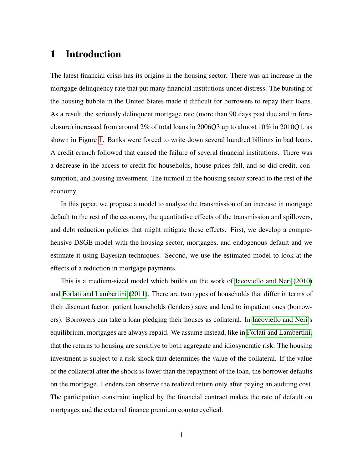# 1 Introduction

The latest financial crisis has its origins in the housing sector. There was an increase in the mortgage delinquency rate that put many financial institutions under distress. The bursting of the housing bubble in the United States made it difficult for borrowers to repay their loans. As a result, the seriously delinquent mortgage rate (more than 90 days past due and in foreclosure) increased from around 2% of total loans in 2006Q3 up to almost 10% in 2010Q1, as shown in Figure [1.](#page-3-0) Banks were forced to write down several hundred billions in bad loans. A credit crunch followed that caused the failure of several financial institutions. There was a decrease in the access to credit for households, house prices fell, and so did credit, consumption, and housing investment. The turmoil in the housing sector spread to the rest of the economy.

In this paper, we propose a model to analyze the transmission of an increase in mortgage default to the rest of the economy, the quantitative effects of the transmission and spillovers, and debt reduction policies that might mitigate these effects. First, we develop a comprehensive DSGE model with the housing sector, mortgages, and endogenous default and we estimate it using Bayesian techniques. Second, we use the estimated model to look at the effects of a reduction in mortgage payments.

This is a medium-sized model which builds on the work of [Iacoviello and Neri](#page-36-0) [\(2010\)](#page-36-0) and [Forlati and Lambertini](#page-36-1) [\(2011\)](#page-36-1). There are two types of households that differ in terms of their discount factor: patient households (lenders) save and lend to impatient ones (borrowers). Borrowers can take a loan pledging their houses as collateral. In [Iacoviello and Neri'](#page-36-0)s equilibrium, mortgages are always repaid. We assume instead, like in [Forlati and Lambertini,](#page-36-1) that the returns to housing are sensitive to both aggregate and idiosyncratic risk. The housing investment is subject to a risk shock that determines the value of the collateral. If the value of the collateral after the shock is lower than the repayment of the loan, the borrower defaults on the mortgage. Lenders can observe the realized return only after paying an auditing cost. The participation constraint implied by the financial contract makes the rate of default on mortgages and the external finance premium countercyclical.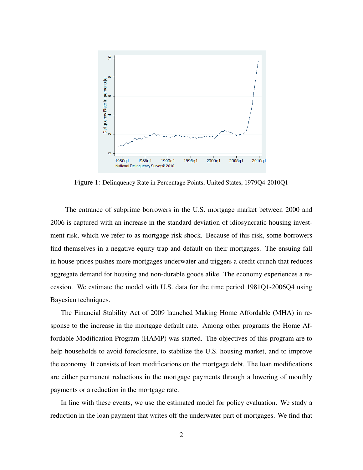<span id="page-3-0"></span>

Figure 1: Delinquency Rate in Percentage Points, United States, 1979Q4-2010Q1

The entrance of subprime borrowers in the U.S. mortgage market between 2000 and 2006 is captured with an increase in the standard deviation of idiosyncratic housing investment risk, which we refer to as mortgage risk shock. Because of this risk, some borrowers find themselves in a negative equity trap and default on their mortgages. The ensuing fall in house prices pushes more mortgages underwater and triggers a credit crunch that reduces aggregate demand for housing and non-durable goods alike. The economy experiences a recession. We estimate the model with U.S. data for the time period 1981Q1-2006Q4 using Bayesian techniques.

The Financial Stability Act of 2009 launched Making Home Affordable (MHA) in response to the increase in the mortgage default rate. Among other programs the Home Affordable Modification Program (HAMP) was started. The objectives of this program are to help households to avoid foreclosure, to stabilize the U.S. housing market, and to improve the economy. It consists of loan modifications on the mortgage debt. The loan modifications are either permanent reductions in the mortgage payments through a lowering of monthly payments or a reduction in the mortgage rate.

In line with these events, we use the estimated model for policy evaluation. We study a reduction in the loan payment that writes off the underwater part of mortgages. We find that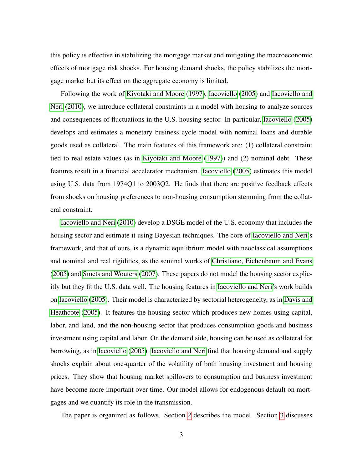this policy is effective in stabilizing the mortgage market and mitigating the macroeconomic effects of mortgage risk shocks. For housing demand shocks, the policy stabilizes the mortgage market but its effect on the aggregate economy is limited.

Following the work of [Kiyotaki and Moore](#page-37-0) [\(1997\)](#page-37-0), [Iacoviello](#page-36-2) [\(2005\)](#page-36-2) and [Iacoviello and](#page-36-0) [Neri](#page-36-0) [\(2010\)](#page-36-0), we introduce collateral constraints in a model with housing to analyze sources and consequences of fluctuations in the U.S. housing sector. In particular, [Iacoviello](#page-36-2) [\(2005\)](#page-36-2) develops and estimates a monetary business cycle model with nominal loans and durable goods used as collateral. The main features of this framework are: (1) collateral constraint tied to real estate values (as in [Kiyotaki and Moore](#page-37-0) [\(1997\)](#page-37-0)) and (2) nominal debt. These features result in a financial accelerator mechanism. [Iacoviello](#page-36-2) [\(2005\)](#page-36-2) estimates this model using U.S. data from 1974Q1 to 2003Q2. He finds that there are positive feedback effects from shocks on housing preferences to non-housing consumption stemming from the collateral constraint.

[Iacoviello and Neri](#page-36-0) [\(2010\)](#page-36-0) develop a DSGE model of the U.S. economy that includes the housing sector and estimate it using Bayesian techniques. The core of [Iacoviello and Neri'](#page-36-0)s framework, and that of ours, is a dynamic equilibrium model with neoclassical assumptions and nominal and real rigidities, as the seminal works of [Christiano, Eichenbaum and Evans](#page-36-3) [\(2005\)](#page-36-3) and [Smets and Wouters](#page-37-1) [\(2007\)](#page-37-1). These papers do not model the housing sector explicitly but they fit the U.S. data well. The housing features in [Iacoviello and Neri'](#page-36-0)s work builds on [Iacoviello](#page-36-2) [\(2005\)](#page-36-2). Their model is characterized by sectorial heterogeneity, as in [Davis and](#page-36-4) [Heathcote](#page-36-4) [\(2005\)](#page-36-4). It features the housing sector which produces new homes using capital, labor, and land, and the non-housing sector that produces consumption goods and business investment using capital and labor. On the demand side, housing can be used as collateral for borrowing, as in [Iacoviello](#page-36-2) [\(2005\)](#page-36-2). [Iacoviello and Neri](#page-36-0) find that housing demand and supply shocks explain about one-quarter of the volatility of both housing investment and housing prices. They show that housing market spillovers to consumption and business investment have become more important over time. Our model allows for endogenous default on mortgages and we quantify its role in the transmission.

The paper is organized as follows. Section [2](#page-5-0) describes the model. Section [3](#page-12-0) discusses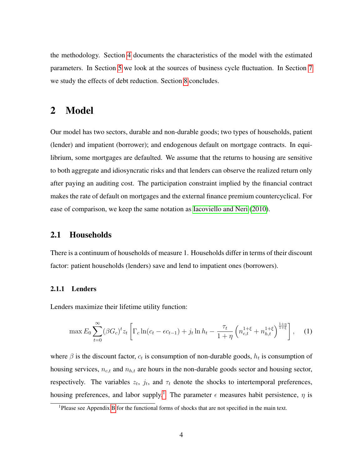the methodology. Section [4](#page-14-0) documents the characteristics of the model with the estimated parameters. In Section [5](#page-21-0) we look at the sources of business cycle fluctuation. In Section [7](#page-26-0) we study the effects of debt reduction. Section [8](#page-34-0) concludes.

## <span id="page-5-0"></span>2 Model

Our model has two sectors, durable and non-durable goods; two types of households, patient (lender) and impatient (borrower); and endogenous default on mortgage contracts. In equilibrium, some mortgages are defaulted. We assume that the returns to housing are sensitive to both aggregate and idiosyncratic risks and that lenders can observe the realized return only after paying an auditing cost. The participation constraint implied by the financial contract makes the rate of default on mortgages and the external finance premium countercyclical. For ease of comparison, we keep the same notation as [Iacoviello and Neri](#page-36-0) [\(2010\)](#page-36-0).

#### 2.1 Households

There is a continuum of households of measure 1. Households differ in terms of their discount factor: patient households (lenders) save and lend to impatient ones (borrowers).

#### 2.1.1 Lenders

Lenders maximize their lifetime utility function:

<span id="page-5-2"></span>
$$
\max E_0 \sum_{t=0}^{\infty} (\beta G_c)^t z_t \left[ \Gamma_c \ln(c_t - \epsilon c_{t-1}) + j_t \ln h_t - \frac{\tau_t}{1+\eta} \left( n_{c,t}^{1+\xi} + n_{h,t}^{1+\xi} \right)^{\frac{1+\eta}{1+\xi}} \right], \quad (1)
$$

where  $\beta$  is the discount factor,  $c_t$  is consumption of non-durable goods,  $h_t$  is consumption of housing services,  $n_{c,t}$  and  $n_{h,t}$  are hours in the non-durable goods sector and housing sector, respectively. The variables  $z_t$ ,  $j_t$ , and  $\tau_t$  denote the shocks to intertemporal preferences, housing preferences, and labor supply.<sup>[1](#page-5-1)</sup> The parameter  $\epsilon$  measures habit persistence,  $\eta$  is

<span id="page-5-1"></span><sup>&</sup>lt;sup>1</sup>Please see Appendix [B](#page-38-0) for the functional forms of shocks that are not specified in the main text.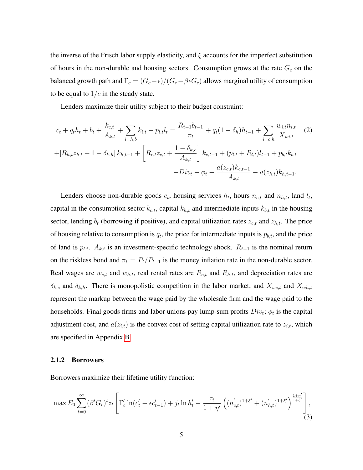the inverse of the Frisch labor supply elasticity, and  $\xi$  accounts for the imperfect substitution of hours in the non-durable and housing sectors. Consumption grows at the rate  $G_c$  on the balanced growth path and  $\Gamma_c = (G_c - \epsilon)/(G_c - \beta \epsilon G_c)$  allows marginal utility of consumption to be equal to  $1/c$  in the steady state.

Lenders maximize their utility subject to their budget constraint:

<span id="page-6-1"></span>
$$
c_{t} + q_{t}h_{t} + b_{t} + \frac{k_{c,t}}{A_{k,t}} + \sum_{i=h,b} k_{i,t} + p_{l,t}l_{t} = \frac{R_{t-1}b_{t-1}}{\pi_{t}} + q_{t}(1 - \delta_{h})h_{t-1} + \sum_{i=c,h} \frac{w_{i,t}n_{i,t}}{X_{wi,t}} \tag{2}
$$

$$
+ [R_{h,t}z_{h,t} + 1 - \delta_{k,h}]k_{h,t-1} + \left[R_{c,t}z_{c,t} + \frac{1 - \delta_{k,c}}{A_{k,t}}\right]k_{c,t-1} + (p_{l,t} + R_{l,t})l_{t-1} + p_{b,t}k_{b,t}
$$

$$
+ Div_{t} - \phi_{t} - \frac{a(z_{c,t})k_{c,t-1}}{A_{k,t}} - a(z_{h,t})k_{h,t-1}.
$$

Lenders choose non-durable goods  $c_t$ , housing services  $h_t$ , hours  $n_{c,t}$  and  $n_{h,t}$ , land  $l_t$ , capital in the consumption sector  $k_{c,t}$ , capital  $k_{h,t}$  and intermediate inputs  $k_{b,t}$  in the housing sector, lending  $b_t$  (borrowing if positive), and capital utilization rates  $z_{c,t}$  and  $z_{h,t}$ . The price of housing relative to consumption is  $q_t$ , the price for intermediate inputs is  $p_{b,t}$ , and the price of land is  $p_{l,t}$ .  $A_{k,t}$  is an investment-specific technology shock.  $R_{t-1}$  is the nominal return on the riskless bond and  $\pi_t = P_t/P_{t-1}$  is the money inflation rate in the non-durable sector. Real wages are  $w_{c,t}$  and  $w_{h,t}$ , real rental rates are  $R_{c,t}$  and  $R_{h,t}$ , and depreciation rates are  $\delta_{k,c}$  and  $\delta_{k,h}$ . There is monopolistic competition in the labor market, and  $X_{wc,t}$  and  $X_{wh,t}$ represent the markup between the wage paid by the wholesale firm and the wage paid to the households. Final goods firms and labor unions pay lump-sum profits  $Div_t$ ;  $\phi_t$  is the capital adjustment cost, and  $a(z_{i,t})$  is the convex cost of setting capital utilization rate to  $z_{i,t}$ , which are specified in Appendix [B.](#page-38-0)

#### 2.1.2 Borrowers

Borrowers maximize their lifetime utility function:

<span id="page-6-0"></span>
$$
\max E_0 \sum_{t=0}^{\infty} (\beta' G_c)^t z_t \left[ \Gamma_c' \ln(c_t' - \epsilon c_{t-1}') + j_t \ln h_t' - \frac{\tau_t}{1 + \eta'} \left( (n_{c,t}')^{1 + \xi'} + (n_{h,t}')^{1 + \xi'} \right)^{\frac{1 + \eta'}{1 + \xi'}} \right],
$$
\n(3)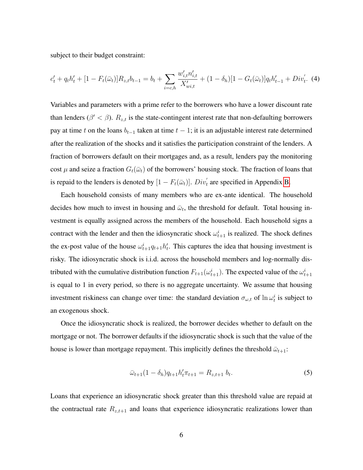subject to their budget constraint:

<span id="page-7-0"></span>
$$
c'_{t} + q_{t}h'_{t} + [1 - F_{t}(\bar{\omega}_{t})]R_{z,t}b_{t-1} = b_{t} + \sum_{i=c,h} \frac{w'_{i,t}n'_{i,t}}{X'_{wi,t}} + (1 - \delta_{h})[1 - G_{t}(\bar{\omega}_{t})]q_{t}h'_{t-1} + Div'_{t}.
$$
 (4)

Variables and parameters with a prime refer to the borrowers who have a lower discount rate than lenders ( $\beta' < \beta$ ).  $R_{z,t}$  is the state-contingent interest rate that non-defaulting borrowers pay at time t on the loans  $b_{t-1}$  taken at time  $t-1$ ; it is an adjustable interest rate determined after the realization of the shocks and it satisfies the participation constraint of the lenders. A fraction of borrowers default on their mortgages and, as a result, lenders pay the monitoring cost  $\mu$  and seize a fraction  $G_t(\bar{\omega}_t)$  of the borrowers' housing stock. The fraction of loans that is repaid to the lenders is denoted by  $[1 - F_t(\bar{\omega}_t)]$ .  $Div'_t$  are specified in Appendix [B.](#page-38-0)

Each household consists of many members who are ex-ante identical. The household decides how much to invest in housing and  $\bar{\omega}_t$ , the threshold for default. Total housing investment is equally assigned across the members of the household. Each household signs a contract with the lender and then the idiosyncratic shock  $\omega_{t+1}^i$  is realized. The shock defines the ex-post value of the house  $\omega_{t+1}^i q_{t+1} h_t'$ . This captures the idea that housing investment is risky. The idiosyncratic shock is i.i.d. across the household members and log-normally distributed with the cumulative distribution function  $F_{t+1}(\omega_{t+1}^i)$ . The expected value of the  $\omega_{t+1}^i$ is equal to 1 in every period, so there is no aggregate uncertainty. We assume that housing investment riskiness can change over time: the standard deviation  $\sigma_{\omega,t}$  of  $\ln \omega_t^i$  is subject to an exogenous shock.

Once the idiosyncratic shock is realized, the borrower decides whether to default on the mortgage or not. The borrower defaults if the idiosyncratic shock is such that the value of the house is lower than mortgage repayment. This implicitly defines the threshold  $\bar{\omega}_{t+1}$ :

<span id="page-7-1"></span>
$$
\bar{\omega}_{t+1}(1-\delta_h)q_{t+1}h'_t\pi_{t+1} = R_{z,t+1}b_t.
$$
\n(5)

Loans that experience an idiosyncratic shock greater than this threshold value are repaid at the contractual rate  $R_{z,t+1}$  and loans that experience idiosyncratic realizations lower than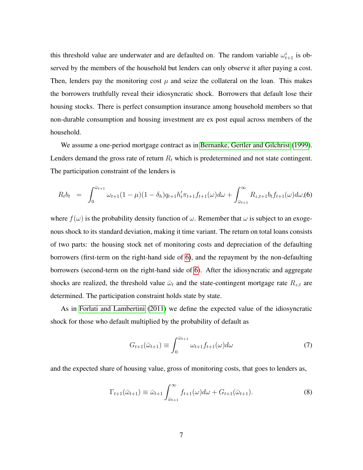this threshold value are underwater and are defaulted on. The random variable  $\omega_{t+1}^i$  is observed by the members of the household but lenders can only observe it after paying a cost. Then, lenders pay the monitoring cost  $\mu$  and seize the collateral on the loan. This makes the borrowers truthfully reveal their idiosyncratic shock. Borrowers that default lose their housing stocks. There is perfect consumption insurance among household members so that non-durable consumption and housing investment are ex post equal across members of the household.

We assume a one-period mortgage contract as in [Bernanke, Gertler and Gilchrist](#page-36-5) [\(1999\)](#page-36-5). Lenders demand the gross rate of return  $R_t$  which is predetermined and not state contingent. The participation constraint of the lenders is

<span id="page-8-0"></span>
$$
R_t b_t = \int_0^{\bar{\omega}_{t+1}} \omega_{t+1} (1 - \mu) (1 - \delta_h) q_{t+1} h'_t \pi_{t+1} f_{t+1}(\omega) d\omega + \int_{\bar{\omega}_{t+1}}^{\infty} R_{z, t+1} b_t f_{t+1}(\omega) d\omega, (6)
$$

where  $f(\omega)$  is the probability density function of  $\omega$ . Remember that  $\omega$  is subject to an exogenous shock to its standard deviation, making it time variant. The return on total loans consists of two parts: the housing stock net of monitoring costs and depreciation of the defaulting borrowers (first-term on the right-hand side of [6\)](#page-8-0), and the repayment by the non-defaulting borrowers (second-term on the right-hand side of [6\)](#page-8-0). After the idiosyncratic and aggregate shocks are realized, the threshold value  $\bar{\omega}_t$  and the state-contingent mortgage rate  $R_{z,t}$  are determined. The participation constraint holds state by state.

As in [Forlati and Lambertini](#page-36-1) [\(2011\)](#page-36-1) we define the expected value of the idiosyncratic shock for those who default multiplied by the probability of default as

<span id="page-8-1"></span>
$$
G_{t+1}(\bar{\omega}_{t+1}) \equiv \int_0^{\bar{\omega}_{t+1}} \omega_{t+1} f_{t+1}(\omega) d\omega \tag{7}
$$

and the expected share of housing value, gross of monitoring costs, that goes to lenders as,

<span id="page-8-2"></span>
$$
\Gamma_{t+1}(\bar{\omega}_{t+1}) \equiv \bar{\omega}_{t+1} \int_{\bar{\omega}_{t+1}}^{\infty} f_{t+1}(\omega) d\omega + G_{t+1}(\bar{\omega}_{t+1}). \tag{8}
$$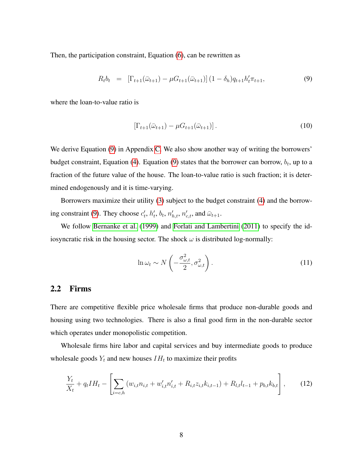Then, the participation constraint, Equation [\(6\)](#page-8-0), can be rewritten as

<span id="page-9-0"></span>
$$
R_t b_t = \left[ \Gamma_{t+1}(\bar{\omega}_{t+1}) - \mu G_{t+1}(\bar{\omega}_{t+1}) \right] (1 - \delta_h) q_{t+1} h'_t \pi_{t+1}, \tag{9}
$$

where the loan-to-value ratio is

$$
\left[\Gamma_{t+1}(\bar{\omega}_{t+1}) - \mu G_{t+1}(\bar{\omega}_{t+1})\right].\tag{10}
$$

We derive Equation [\(9\)](#page-9-0) in Appendix [C.](#page-43-0) We also show another way of writing the borrowers' budget constraint, Equation [\(4\)](#page-7-0). Equation [\(9\)](#page-9-0) states that the borrower can borrow,  $b_t$ , up to a fraction of the future value of the house. The loan-to-value ratio is such fraction; it is determined endogenously and it is time-varying.

Borrowers maximize their utility [\(3\)](#page-6-0) subject to the budget constraint [\(4\)](#page-7-0) and the borrow-ing constraint [\(9\)](#page-9-0). They choose  $c'_t$ ,  $h'_t$ ,  $b_t$ ,  $n'_{h,t}$ ,  $n'_{c,t}$ , and  $\bar{\omega}_{t+1}$ .

We follow [Bernanke et al.](#page-36-5) [\(1999\)](#page-36-5) and [Forlati and Lambertini](#page-36-1) [\(2011\)](#page-36-1) to specify the idiosyncratic risk in the housing sector. The shock  $\omega$  is distributed log-normally:

$$
\ln \omega_t \sim N\left(-\frac{\sigma_{\omega,t}^2}{2}, \sigma_{\omega,t}^2\right). \tag{11}
$$

#### 2.2 Firms

There are competitive flexible price wholesale firms that produce non-durable goods and housing using two technologies. There is also a final good firm in the non-durable sector which operates under monopolistic competition.

Wholesale firms hire labor and capital services and buy intermediate goods to produce wholesale goods  $Y_t$  and new houses  $IH_t$  to maximize their profits

$$
\frac{Y_t}{X_t} + q_t H_t - \left[ \sum_{i=c,h} \left( w_{i,t} n_{i,t} + w'_{i,t} n'_{i,t} + R_{i,t} z_{i,t} k_{i,t-1} \right) + R_{l,t} l_{t-1} + p_{b,t} k_{b,t} \right],\tag{12}
$$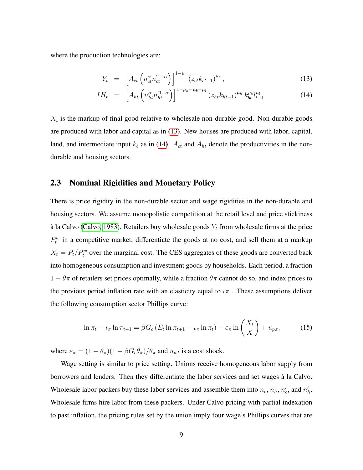where the production technologies are:

<span id="page-10-0"></span>
$$
Y_t = \left[ A_{ct} \left( n_{ct}^{\alpha} n_{ct}^{'1-\alpha} \right) \right]^{1-\mu_c} \left( z_{ct} k_{ct-1} \right)^{\mu_c}, \tag{13}
$$

$$
IH_t = \left[A_{ht}\left(n_{ht}^{\alpha}n_{ht}^{'1-\alpha}\right)\right]^{1-\mu_h-\mu_b-\mu_l}(z_{ht}k_{ht-1})^{\mu_h}k_{bt}^{\mu_b}l_{t-1}^{\mu_l}.
$$
 (14)

 $X_t$  is the markup of final good relative to wholesale non-durable good. Non-durable goods are produced with labor and capital as in [\(13\)](#page-10-0). New houses are produced with labor, capital, land, and intermediate input  $k_b$  as in [\(14\)](#page-10-0).  $A_{ct}$  and  $A_{ht}$  denote the productivities in the nondurable and housing sectors.

### 2.3 Nominal Rigidities and Monetary Policy

There is price rigidity in the non-durable sector and wage rigidities in the non-durable and housing sectors. We assume monopolistic competition at the retail level and price stickiness à la Calvo [\(Calvo, 1983\)](#page-36-6). Retailers buy wholesale goods  $Y_t$  from wholesale firms at the price  $P_t^w$  in a competitive market, differentiate the goods at no cost, and sell them at a markup  $X_t = P_t/P_t^w$  over the marginal cost. The CES aggregates of these goods are converted back into homogeneous consumption and investment goods by households. Each period, a fraction  $1 - \theta \pi$  of retailers set prices optimally, while a fraction  $\theta \pi$  cannot do so, and index prices to the previous period inflation rate with an elasticity equal to  $\iota\pi$ . These assumptions deliver the following consumption sector Phillips curve:

$$
\ln \pi_t - \iota_\pi \ln \pi_{t-1} = \beta G_c \left( E_t \ln \pi_{t+1} - \iota_\pi \ln \pi_t \right) - \varepsilon_\pi \ln \left( \frac{X_t}{X} \right) + u_{p,t},\tag{15}
$$

where  $\varepsilon_{\pi} = (1 - \theta_{\pi})(1 - \beta G_{c} \theta_{\pi})/\theta_{\pi}$  and  $u_{p,t}$  is a cost shock.

Wage setting is similar to price setting. Unions receive homogeneous labor supply from borrowers and lenders. Then they differentiate the labor services and set wages à la Calvo. Wholesale labor packers buy these labor services and assemble them into  $n_c$ ,  $n_h$ ,  $n'_c$ , and  $n'_h$ . Wholesale firms hire labor from these packers. Under Calvo pricing with partial indexation to past inflation, the pricing rules set by the union imply four wage's Phillips curves that are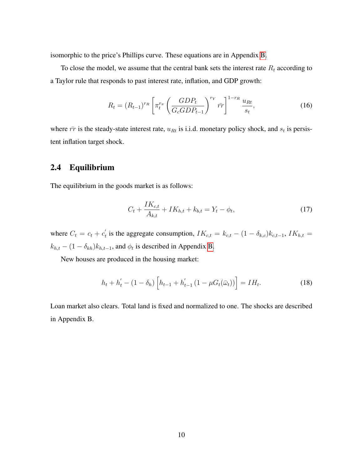isomorphic to the price's Phillips curve. These equations are in Appendix [B.](#page-38-0)

To close the model, we assume that the central bank sets the interest rate  $R_t$  according to a Taylor rule that responds to past interest rate, inflation, and GDP growth:

<span id="page-11-0"></span>
$$
R_t = (R_{t-1})^{r_R} \left[ \pi_t^{r_{\pi}} \left( \frac{GDP_t}{G_c GDP_{t-1}} \right)^{r_Y} \bar{r} \right]^{1-r_R} \frac{u_{Rt}}{s_t}, \tag{16}
$$

where  $\bar{rr}$  is the steady-state interest rate,  $u_{Rt}$  is i.i.d. monetary policy shock, and  $s_t$  is persistent inflation target shock.

## 2.4 Equilibrium

The equilibrium in the goods market is as follows:

$$
C_t + \frac{IK_{c,t}}{A_{k,t}} + IK_{h,t} + k_{b,t} = Y_t - \phi_t,
$$
\n(17)

where  $C_t = c_t + c_t$  $t_i$  is the aggregate consumption,  $IK_{c,t} = k_{c,t} - (1 - \delta_{k,c})k_{c,t-1}$ ,  $IK_{h,t} =$  $k_{h,t} - (1 - \delta_{kh})k_{h,t-1}$ , and  $\phi_t$  is described in Appendix [B.](#page-38-0)

New houses are produced in the housing market:

$$
h_t + h'_t - (1 - \delta_h) \left[ h_{t-1} + h'_{t-1} \left( 1 - \mu G_t(\bar{\omega}_t) \right) \right] = IH_t.
$$
 (18)

Loan market also clears. Total land is fixed and normalized to one. The shocks are described in Appendix B.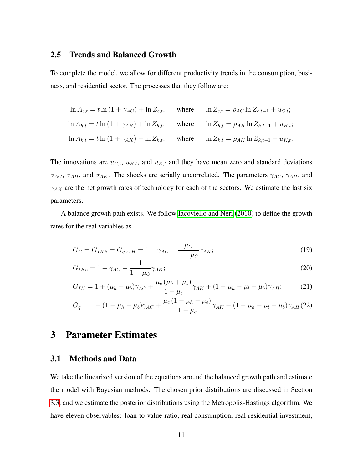#### 2.5 Trends and Balanced Growth

To complete the model, we allow for different productivity trends in the consumption, business, and residential sector. The processes that they follow are:

$$
\ln A_{c,t} = t \ln (1 + \gamma_{AC}) + \ln Z_{c,t}, \quad \text{where} \quad \ln Z_{c,t} = \rho_{AC} \ln Z_{c,t-1} + u_{C,t};
$$
  
\n
$$
\ln A_{h,t} = t \ln (1 + \gamma_{AH}) + \ln Z_{h,t}, \quad \text{where} \quad \ln Z_{h,t} = \rho_{AH} \ln Z_{h,t-1} + u_{H,t};
$$
  
\n
$$
\ln A_{k,t} = t \ln (1 + \gamma_{AK}) + \ln Z_{k,t}, \quad \text{where} \quad \ln Z_{k,t} = \rho_{AK} \ln Z_{k,t-1} + u_{K,t}.
$$

The innovations are  $u_{C,t}$ ,  $u_{H,t}$ , and  $u_{K,t}$  and they have mean zero and standard deviations  $\sigma_{AC}$ ,  $\sigma_{AH}$ , and  $\sigma_{AK}$ . The shocks are serially uncorrelated. The parameters  $\gamma_{AC}$ ,  $\gamma_{AH}$ , and  $\gamma_{AK}$  are the net growth rates of technology for each of the sectors. We estimate the last six parameters.

A balance growth path exists. We follow [Iacoviello and Neri](#page-36-0) [\(2010\)](#page-36-0) to define the growth rates for the real variables as

<span id="page-12-1"></span>
$$
G_C = G_{IKh} = G_{q \times IH} = 1 + \gamma_{AC} + \frac{\mu_C}{1 - \mu_C} \gamma_{AK};
$$
\n(19)

$$
G_{IKc} = 1 + \gamma_{AC} + \frac{1}{1 - \mu_C} \gamma_{AK};
$$
\n(20)

$$
G_{IH} = 1 + (\mu_h + \mu_b)\gamma_{AC} + \frac{\mu_c(\mu_h + \mu_b)}{1 - \mu_c}\gamma_{AK} + (1 - \mu_h - \mu_l - \mu_b)\gamma_{AH};
$$
 (21)

$$
G_q = 1 + (1 - \mu_h - \mu_b)\gamma_{AC} + \frac{\mu_c (1 - \mu_h - \mu_b)}{1 - \mu_c}\gamma_{AK} - (1 - \mu_h - \mu_l - \mu_b)\gamma_{AH}(22)
$$

# <span id="page-12-0"></span>3 Parameter Estimates

#### 3.1 Methods and Data

We take the linearized version of the equations around the balanced growth path and estimate the model with Bayesian methods. The chosen prior distributions are discussed in Section [3.3,](#page-13-0) and we estimate the posterior distributions using the Metropolis-Hastings algorithm. We have eleven observables: loan-to-value ratio, real consumption, real residential investment,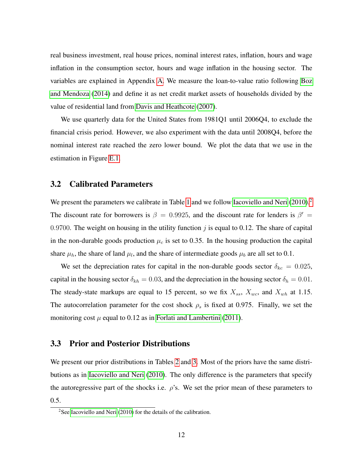real business investment, real house prices, nominal interest rates, inflation, hours and wage inflation in the consumption sector, hours and wage inflation in the housing sector. The variables are explained in Appendix [A.](#page-37-2) We measure the loan-to-value ratio following [Boz](#page-36-7) [and Mendoza](#page-36-7) [\(2014\)](#page-36-7) and define it as net credit market assets of households divided by the value of residential land from [Davis and Heathcote](#page-36-8) [\(2007\)](#page-36-8).

We use quarterly data for the United States from 1981Q1 until 2006Q4, to exclude the financial crisis period. However, we also experiment with the data until 2008Q4, before the nominal interest rate reached the zero lower bound. We plot the data that we use in the estimation in Figure [E.1.](#page-46-0)

#### 3.2 Calibrated Parameters

We present the parameters we calibrate in Table [1](#page-14-1) and we follow [Iacoviello and Neri](#page-36-0) [\(2010\)](#page-36-0).<sup>[2](#page-13-1)</sup> The discount rate for borrowers is  $\beta = 0.9925$ , and the discount rate for lenders is  $\beta' =$ 0.9700. The weight on housing in the utility function j is equal to 0.12. The share of capital in the non-durable goods production  $\mu_c$  is set to 0.35. In the housing production the capital share  $\mu_h$ , the share of land  $\mu_l$ , and the share of intermediate goods  $\mu_b$  are all set to 0.1.

We set the depreciation rates for capital in the non-durable goods sector  $\delta_{kc} = 0.025$ , capital in the housing sector  $\delta_{kh} = 0.03$ , and the depreciation in the housing sector  $\delta_h = 0.01$ . The steady-state markups are equal to 15 percent, so we fix  $X_{ss}$ ,  $X_{wc}$ , and  $X_{wh}$  at 1.15. The autocorrelation parameter for the cost shock  $\rho_s$  is fixed at 0.975. Finally, we set the monitoring cost  $\mu$  equal to 0.12 as in [Forlati and Lambertini](#page-36-1) [\(2011\)](#page-36-1).

#### <span id="page-13-0"></span>3.3 Prior and Posterior Distributions

We present our prior distributions in Tables [2](#page-15-0) and [3.](#page-16-0) Most of the priors have the same distributions as in [Iacoviello and Neri](#page-36-0) [\(2010\)](#page-36-0). The only difference is the parameters that specify the autoregressive part of the shocks i.e.  $\rho$ 's. We set the prior mean of these parameters to  $0.5.$ 

<span id="page-13-1"></span><sup>&</sup>lt;sup>2</sup>See [Iacoviello and Neri](#page-36-0) [\(2010\)](#page-36-0) for the details of the calibration.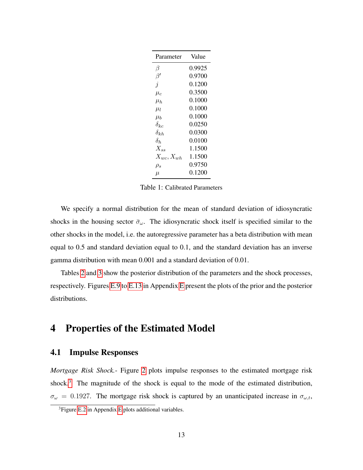<span id="page-14-1"></span>

| Parameter               | Value  |
|-------------------------|--------|
| B                       | 0.9925 |
| $\beta'$                | 0.9700 |
| $\overline{\mathbf{r}}$ | 0.1200 |
| $\mu_c$                 | 0.3500 |
| $\mu_h$                 | 0.1000 |
| $\mu_l$                 | 0.1000 |
| $\mu_b$                 | 0.1000 |
| $\delta_{kc}$           | 0.0250 |
| $\delta_{kh}$           | 0.0300 |
| $\delta_h$              | 0.0100 |
| $X_{ss}$                | 1.1500 |
| $X_{wc}$ , $X_{wh}$     | 1.1500 |
| $\rho_s$                | 0.9750 |
| $\mu$                   | 0.1200 |

Table 1: Calibrated Parameters

We specify a normal distribution for the mean of standard deviation of idiosyncratic shocks in the housing sector  $\bar{\sigma}_{\omega}$ . The idiosyncratic shock itself is specified similar to the other shocks in the model, i.e. the autoregressive parameter has a beta distribution with mean equal to 0.5 and standard deviation equal to 0.1, and the standard deviation has an inverse gamma distribution with mean 0.001 and a standard deviation of 0.01.

Tables [2](#page-15-0) and [3](#page-16-0) show the posterior distribution of the parameters and the shock processes, respectively. Figures [E.9](#page-54-0) to [E.13](#page-56-0) in Appendix [E](#page-45-0) present the plots of the prior and the posterior distributions.

## <span id="page-14-0"></span>4 Properties of the Estimated Model

#### 4.1 Impulse Responses

*Mortgage Risk Shock.*- Figure [2](#page-18-0) plots impulse responses to the estimated mortgage risk shock. $3$  The magnitude of the shock is equal to the mode of the estimated distribution,  $\sigma_{\omega} = 0.1927$ . The mortgage risk shock is captured by an unanticipated increase in  $\sigma_{\omega,t}$ ,

<span id="page-14-2"></span><sup>&</sup>lt;sup>3</sup>Figure [E.2](#page-47-0) in Appendix [E](#page-45-0) plots additional variables.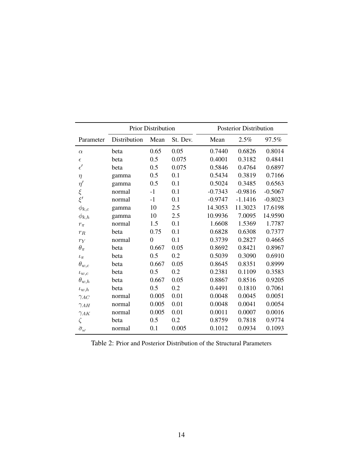<span id="page-15-0"></span>

|                         | <b>Prior Distribution</b> |                |          | <b>Posterior Distribution</b> |           |           |
|-------------------------|---------------------------|----------------|----------|-------------------------------|-----------|-----------|
| Parameter               | Distribution              | Mean           | St. Dev. | Mean                          | 2.5%      | 97.5%     |
| $\alpha$                | beta                      | 0.65           | 0.05     | 0.7440                        | 0.6826    | 0.8014    |
| $\epsilon$              | beta                      | 0.5            | 0.075    | 0.4001                        | 0.3182    | 0.4841    |
| $\epsilon'$             | beta                      | 0.5            | 0.075    | 0.5846                        | 0.4764    | 0.6897    |
| $\eta$                  | gamma                     | 0.5            | 0.1      | 0.5434                        | 0.3819    | 0.7166    |
| $\eta'$                 | gamma                     | 0.5            | 0.1      | 0.5024                        | 0.3485    | 0.6563    |
| $\xi$                   | normal                    | $-1$           | 0.1      | $-0.7343$                     | $-0.9816$ | $-0.5067$ |
| $\xi'$                  | normal                    | $-1$           | 0.1      | $-0.9747$                     | $-1.1416$ | $-0.8023$ |
| $\phi_{k,c}$            | gamma                     | 10             | 2.5      | 14.3053                       | 11.3023   | 17.6198   |
| $\phi_{k,h}$            | gamma                     | 10             | 2.5      | 10.9936                       | 7.0095    | 14.9590   |
| $r_{\pi}$               | normal                    | 1.5            | 0.1      | 1.6608                        | 1.5369    | 1.7787    |
| $r_R$                   | beta                      | 0.75           | 0.1      | 0.6828                        | 0.6308    | 0.7377    |
| $r_Y$                   | normal                    | $\overline{0}$ | 0.1      | 0.3739                        | 0.2827    | 0.4665    |
| $\theta_{\pi}$          | beta                      | 0.667          | 0.05     | 0.8692                        | 0.8421    | 0.8967    |
| $\iota_{\pi}$           | beta                      | 0.5            | 0.2      | 0.5039                        | 0.3090    | 0.6910    |
| $\theta_{w,c}$          | beta                      | 0.667          | 0.05     | 0.8645                        | 0.8351    | 0.8999    |
| $\iota_{w,c}$           | beta                      | 0.5            | 0.2      | 0.2381                        | 0.1109    | 0.3583    |
| $\theta_{w,h}$          | beta                      | 0.667          | 0.05     | 0.8867                        | 0.8516    | 0.9205    |
| $\iota_{w,h}$           | beta                      | 0.5            | 0.2      | 0.4491                        | 0.1810    | 0.7061    |
| $\gamma_{AC}$           | normal                    | 0.005          | 0.01     | 0.0048                        | 0.0045    | 0.0051    |
| $\gamma_{AH}$           | normal                    | 0.005          | 0.01     | 0.0048                        | 0.0041    | 0.0054    |
| $\gamma_{AK}$           | normal                    | 0.005          | 0.01     | 0.0011                        | 0.0007    | 0.0016    |
| $\zeta$                 | beta                      | 0.5            | 0.2      | 0.8759                        | 0.7818    | 0.9774    |
| $\bar{\sigma}_{\omega}$ | normal                    | 0.1            | 0.005    | 0.1012                        | 0.0934    | 0.1093    |

Table 2: Prior and Posterior Distribution of the Structural Parameters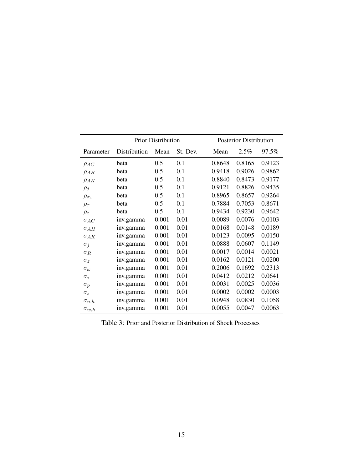<span id="page-16-0"></span>

|                          | <b>Prior Distribution</b> |       |          | <b>Posterior Distribution</b> |        |        |
|--------------------------|---------------------------|-------|----------|-------------------------------|--------|--------|
| Parameter                | Distribution              | Mean  | St. Dev. | Mean                          | 2.5%   | 97.5%  |
| $\rho_{AC}$              | beta                      | 0.5   | 0.1      | 0.8648                        | 0.8165 | 0.9123 |
| $\rho_{AH}$              | beta                      | 0.5   | 0.1      | 0.9418                        | 0.9026 | 0.9862 |
| $\rho_{AK}$              | beta                      | 0.5   | 0.1      | 0.8840                        | 0.8473 | 0.9177 |
| $\rho_j$                 | beta                      | 0.5   | 0.1      | 0.9121                        | 0.8826 | 0.9435 |
| $\rho_{\sigma_{\omega}}$ | beta                      | 0.5   | 0.1      | 0.8965                        | 0.8657 | 0.9264 |
| $\rho_{\tau}$            | beta                      | 0.5   | 0.1      | 0.7884                        | 0.7053 | 0.8671 |
| $\rho_z$                 | beta                      | 0.5   | 0.1      | 0.9434                        | 0.9230 | 0.9642 |
| $\sigma_{AC}$            | inv.gamma                 | 0.001 | 0.01     | 0.0089                        | 0.0076 | 0.0103 |
| $\sigma_{AH}$            | inv.gamma                 | 0.001 | 0.01     | 0.0168                        | 0.0148 | 0.0189 |
| $\sigma_{AK}$            | inv.gamma                 | 0.001 | 0.01     | 0.0123                        | 0.0095 | 0.0150 |
| $\sigma_j$               | inv.gamma                 | 0.001 | 0.01     | 0.0888                        | 0.0607 | 0.1149 |
| $\sigma_R$               | inv.gamma                 | 0.001 | 0.01     | 0.0017                        | 0.0014 | 0.0021 |
| $\sigma_z$               | inv.gamma                 | 0.001 | 0.01     | 0.0162                        | 0.0121 | 0.0200 |
| $\sigma_{\omega}$        | inv.gamma                 | 0.001 | 0.01     | 0.2006                        | 0.1692 | 0.2313 |
| $\sigma_{\tau}$          | inv.gamma                 | 0.001 | 0.01     | 0.0412                        | 0.0212 | 0.0641 |
| $\sigma_p$               | inv.gamma                 | 0.001 | 0.01     | 0.0031                        | 0.0025 | 0.0036 |
| $\sigma_s$               | inv.gamma                 | 0.001 | 0.01     | 0.0002                        | 0.0002 | 0.0003 |
| $\sigma_{n,h}$           | inv.gamma                 | 0.001 | 0.01     | 0.0948                        | 0.0830 | 0.1058 |
| $\sigma_{w,h}$           | inv.gamma                 | 0.001 | 0.01     | 0.0055                        | 0.0047 | 0.0063 |

Table 3: Prior and Posterior Distribution of Shock Processes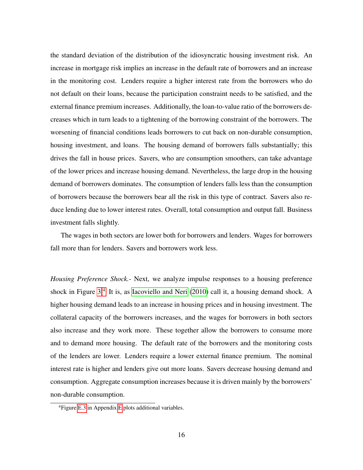the standard deviation of the distribution of the idiosyncratic housing investment risk. An increase in mortgage risk implies an increase in the default rate of borrowers and an increase in the monitoring cost. Lenders require a higher interest rate from the borrowers who do not default on their loans, because the participation constraint needs to be satisfied, and the external finance premium increases. Additionally, the loan-to-value ratio of the borrowers decreases which in turn leads to a tightening of the borrowing constraint of the borrowers. The worsening of financial conditions leads borrowers to cut back on non-durable consumption, housing investment, and loans. The housing demand of borrowers falls substantially; this drives the fall in house prices. Savers, who are consumption smoothers, can take advantage of the lower prices and increase housing demand. Nevertheless, the large drop in the housing demand of borrowers dominates. The consumption of lenders falls less than the consumption of borrowers because the borrowers bear all the risk in this type of contract. Savers also reduce lending due to lower interest rates. Overall, total consumption and output fall. Business investment falls slightly.

The wages in both sectors are lower both for borrowers and lenders. Wages for borrowers fall more than for lenders. Savers and borrowers work less.

*Housing Preference Shock.*- Next, we analyze impulse responses to a housing preference shock in Figure [3.](#page-19-0)<sup>[4](#page-17-0)</sup> It is, as [Iacoviello and Neri](#page-36-0) [\(2010\)](#page-36-0) call it, a housing demand shock. A higher housing demand leads to an increase in housing prices and in housing investment. The collateral capacity of the borrowers increases, and the wages for borrowers in both sectors also increase and they work more. These together allow the borrowers to consume more and to demand more housing. The default rate of the borrowers and the monitoring costs of the lenders are lower. Lenders require a lower external finance premium. The nominal interest rate is higher and lenders give out more loans. Savers decrease housing demand and consumption. Aggregate consumption increases because it is driven mainly by the borrowers' non-durable consumption.

<span id="page-17-0"></span><sup>4</sup>Figure [E.3](#page-48-0) in Appendix [E](#page-45-0) plots additional variables.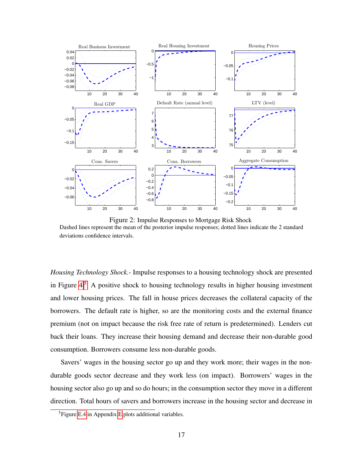<span id="page-18-0"></span>

Figure 2: Impulse Responses to Mortgage Risk Shock Dashed lines represent the mean of the posterior impulse responses; dotted lines indicate the 2 standard deviations confidence intervals.

*Housing Technology Shock.*- Impulse responses to a housing technology shock are presented in Figure  $4.5$  $4.5$  A positive shock to housing technology results in higher housing investment and lower housing prices. The fall in house prices decreases the collateral capacity of the borrowers. The default rate is higher, so are the monitoring costs and the external finance premium (not on impact because the risk free rate of return is predetermined). Lenders cut back their loans. They increase their housing demand and decrease their non-durable good consumption. Borrowers consume less non-durable goods.

Savers' wages in the housing sector go up and they work more; their wages in the nondurable goods sector decrease and they work less (on impact). Borrowers' wages in the housing sector also go up and so do hours; in the consumption sector they move in a different direction. Total hours of savers and borrowers increase in the housing sector and decrease in

<span id="page-18-1"></span><sup>5</sup>Figure [E.4](#page-49-0) in Appendix [E](#page-45-0) plots additional variables.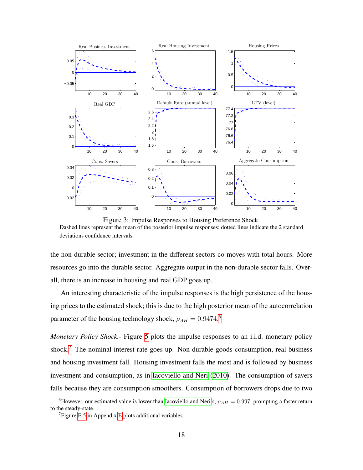<span id="page-19-0"></span>

Figure 3: Impulse Responses to Housing Preference Shock Dashed lines represent the mean of the posterior impulse responses; dotted lines indicate the 2 standard deviations confidence intervals.

the non-durable sector; investment in the different sectors co-moves with total hours. More resources go into the durable sector. Aggregate output in the non-durable sector falls. Overall, there is an increase in housing and real GDP goes up.

An interesting characteristic of the impulse responses is the high persistence of the housing prices to the estimated shock; this is due to the high posterior mean of the autocorrelation parameter of the housing technology shock,  $\rho_{AH} = 0.9474$ .<sup>[6](#page-19-1)</sup>

*Monetary Policy Shock.*- Figure [5](#page-21-1) plots the impulse responses to an i.i.d. monetary policy shock.<sup>[7](#page-19-2)</sup> The nominal interest rate goes up. Non-durable goods consumption, real business and housing investment fall. Housing investment falls the most and is followed by business investment and consumption, as in [Iacoviello and Neri](#page-36-0) [\(2010\)](#page-36-0). The consumption of savers falls because they are consumption smoothers. Consumption of borrowers drops due to two

<span id="page-19-1"></span><sup>&</sup>lt;sup>6</sup>However, our estimated value is lower than [Iacoviello and Neri'](#page-36-0)s,  $\rho_{AH} = 0.997$ , prompting a faster return to the steady-state.

<span id="page-19-2"></span> $7$ Figure [E.5](#page-50-0) in Appendix [E](#page-45-0) plots additional variables.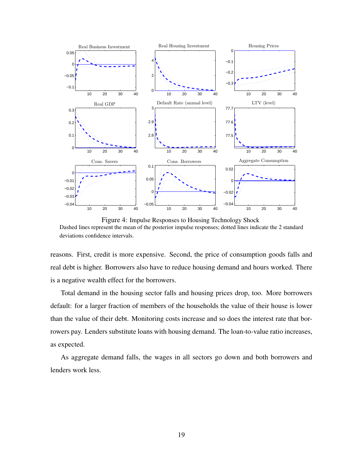<span id="page-20-0"></span>

Figure 4: Impulse Responses to Housing Technology Shock Dashed lines represent the mean of the posterior impulse responses; dotted lines indicate the 2 standard deviations confidence intervals.

reasons. First, credit is more expensive. Second, the price of consumption goods falls and real debt is higher. Borrowers also have to reduce housing demand and hours worked. There is a negative wealth effect for the borrowers.

Total demand in the housing sector falls and housing prices drop, too. More borrowers default: for a larger fraction of members of the households the value of their house is lower than the value of their debt. Monitoring costs increase and so does the interest rate that borrowers pay. Lenders substitute loans with housing demand. The loan-to-value ratio increases, as expected.

As aggregate demand falls, the wages in all sectors go down and both borrowers and lenders work less.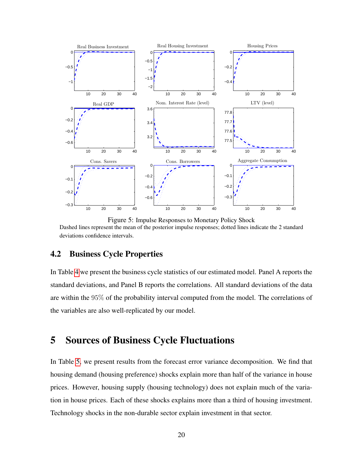<span id="page-21-1"></span>

Figure 5: Impulse Responses to Monetary Policy Shock Dashed lines represent the mean of the posterior impulse responses; dotted lines indicate the 2 standard deviations confidence intervals.

## 4.2 Business Cycle Properties

In Table [4](#page-22-0) we present the business cycle statistics of our estimated model. Panel A reports the standard deviations, and Panel B reports the correlations. All standard deviations of the data are within the 95% of the probability interval computed from the model. The correlations of the variables are also well-replicated by our model.

# <span id="page-21-0"></span>5 Sources of Business Cycle Fluctuations

In Table [5,](#page-23-0) we present results from the forecast error variance decomposition. We find that housing demand (housing preference) shocks explain more than half of the variance in house prices. However, housing supply (housing technology) does not explain much of the variation in house prices. Each of these shocks explains more than a third of housing investment. Technology shocks in the non-durable sector explain investment in that sector.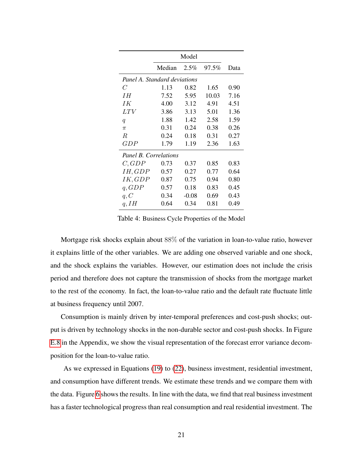<span id="page-22-0"></span>

|                              | Median | $2.5\%$ | 97.5% | Data |  |  |  |
|------------------------------|--------|---------|-------|------|--|--|--|
| Panel A. Standard deviations |        |         |       |      |  |  |  |
| C                            | 1.13   | 0.82    | 1.65  | 0.90 |  |  |  |
| IН                           | 7.52   | 5.95    | 10.03 | 7.16 |  |  |  |
| IK                           | 4.00   | 3.12    | 4.91  | 4.51 |  |  |  |
| <i>LTV</i>                   | 3.86   | 3.13    | 5.01  | 1.36 |  |  |  |
| q                            | 1.88   | 1.42    | 2.58  | 1.59 |  |  |  |
| $\pi$                        | 0.31   | 0.24    | 0.38  | 0.26 |  |  |  |
| R                            | 0.24   | 0.18    | 0.31  | 0.27 |  |  |  |
| GDP                          | 1.79   | 1.19    | 2.36  | 1.63 |  |  |  |
| Panel B. Correlations        |        |         |       |      |  |  |  |
| C, GDP                       | 0.73   | 0.37    | 0.85  | 0.83 |  |  |  |
| IH,GDP                       | 0.57   | 0.27    | 0.77  | 0.64 |  |  |  |
| IK, GDP                      | 0.87   | 0.75    | 0.94  | 0.80 |  |  |  |
| q, GDP                       | 0.57   | 0.18    | 0.83  | 0.45 |  |  |  |
| q, C                         | 0.34   | $-0.08$ | 0.69  | 0.43 |  |  |  |
| q, IH                        | 0.64   | 0.34    | 0.81  | 0.49 |  |  |  |

Table 4: Business Cycle Properties of the Model

Mortgage risk shocks explain about 88% of the variation in loan-to-value ratio, however it explains little of the other variables. We are adding one observed variable and one shock, and the shock explains the variables. However, our estimation does not include the crisis period and therefore does not capture the transmission of shocks from the mortgage market to the rest of the economy. In fact, the loan-to-value ratio and the default rate fluctuate little at business frequency until 2007.

Consumption is mainly driven by inter-temporal preferences and cost-push shocks; output is driven by technology shocks in the non-durable sector and cost-push shocks. In Figure [E.8](#page-54-1) in the Appendix, we show the visual representation of the forecast error variance decomposition for the loan-to-value ratio.

As we expressed in Equations [\(19\)](#page-12-1) to [\(22\)](#page-12-1), business investment, residential investment, and consumption have different trends. We estimate these trends and we compare them with the data. Figure [6](#page-24-0) shows the results. In line with the data, we find that real business investment has a faster technological progress than real consumption and real residential investment. The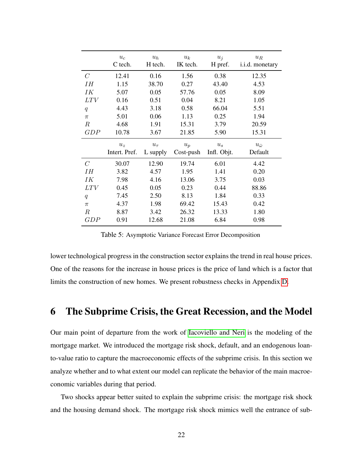<span id="page-23-0"></span>

|               | $u_c$<br>C tech. | $u_h$<br>H tech. | $u_k$<br>IK tech. | $u_j$       | $u_R$              |
|---------------|------------------|------------------|-------------------|-------------|--------------------|
|               |                  |                  |                   | H pref.     | i.i.d. monetary    |
| $\mathcal{C}$ | 12.41            | 0.16             | 1.56              | 0.38        | 12.35              |
| IН            | 1.15             | 38.70            | 0.27              | 43.40       | 4.53               |
| ΙK            | 5.07             | 0.05             | 57.76             | 0.05        | 8.09               |
| LTV           | 0.16             | 0.51             | 0.04              | 8.21        | 1.05               |
| q             | 4.43             | 3.18             | 0.58              | 66.04       | 5.51               |
| $\pi$         | 5.01             | 0.06             | 1.13              | 0.25        | 1.94               |
| R             | 4.68             | 1.91             | 15.31             | 3.79        | 20.59              |
| GDP           | 10.78            | 3.67             | 21.85             | 5.90        | 15.31              |
|               |                  |                  |                   |             |                    |
|               | $u_{\alpha}$     | $u_{\tau}$       | $u_p$             | $u_s$       | $u_{\bar{\omega}}$ |
|               | Intert. Pref.    | L supply         | Cost-push         | Infl. Objt. | Default            |
| $\mathcal C$  | 30.07            | 12.90            | 19.74             | 6.01        | 4.42               |
| IН            | 3.82             | 4.57             | 1.95              | 1.41        | 0.20               |
| ΙK            | 7.98             | 4.16             | 13.06             | 3.75        | 0.03               |
| <i>LTV</i>    | 0.45             | 0.05             | 0.23              | 0.44        | 88.86              |
| q             | 7.45             | 2.50             | 8.13              | 1.84        | 0.33               |
| $\pi$         | 4.37             | 1.98             | 69.42             | 15.43       | 0.42               |
| R             | 8.87             | 3.42             | 26.32             | 13.33       | 1.80               |

Table 5: Asymptotic Variance Forecast Error Decomposition

lower technological progress in the construction sector explains the trend in real house prices. One of the reasons for the increase in house prices is the price of land which is a factor that limits the construction of new homes. We present robustness checks in Appendix [D.](#page-44-0)

## 6 The Subprime Crisis, the Great Recession, and the Model

Our main point of departure from the work of [Iacoviello and Neri](#page-36-0) is the modeling of the mortgage market. We introduced the mortgage risk shock, default, and an endogenous loanto-value ratio to capture the macroeconomic effects of the subprime crisis. In this section we analyze whether and to what extent our model can replicate the behavior of the main macroeconomic variables during that period.

Two shocks appear better suited to explain the subprime crisis: the mortgage risk shock and the housing demand shock. The mortgage risk shock mimics well the entrance of sub-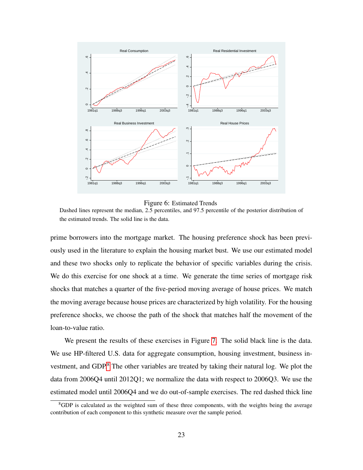<span id="page-24-0"></span>

Figure 6: Estimated Trends

Dashed lines represent the median, 2.5 percentiles, and 97.5 percentile of the posterior distribution of the estimated trends. The solid line is the data.

prime borrowers into the mortgage market. The housing preference shock has been previously used in the literature to explain the housing market bust. We use our estimated model and these two shocks only to replicate the behavior of specific variables during the crisis. We do this exercise for one shock at a time. We generate the time series of mortgage risk shocks that matches a quarter of the five-period moving average of house prices. We match the moving average because house prices are characterized by high volatility. For the housing preference shocks, we choose the path of the shock that matches half the movement of the loan-to-value ratio.

We present the results of these exercises in Figure [7.](#page-25-0) The solid black line is the data. We use HP-filtered U.S. data for aggregate consumption, housing investment, business investment, and GDP.[8](#page-24-1) The other variables are treated by taking their natural log. We plot the data from 2006Q4 until 2012Q1; we normalize the data with respect to 2006Q3. We use the estimated model until 2006Q4 and we do out-of-sample exercises. The red dashed thick line

<span id="page-24-1"></span><sup>&</sup>lt;sup>8</sup>GDP is calculated as the weighted sum of these three components, with the weights being the average contribution of each component to this synthetic measure over the sample period.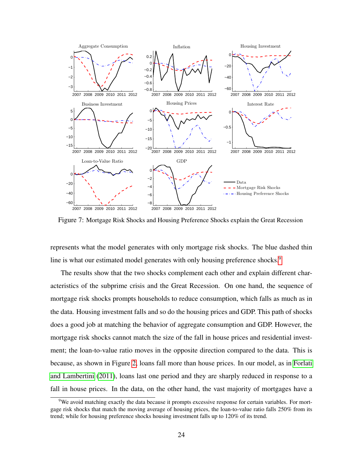<span id="page-25-0"></span>

Figure 7: Mortgage Risk Shocks and Housing Preference Shocks explain the Great Recession

represents what the model generates with only mortgage risk shocks. The blue dashed thin line is what our estimated model generates with only housing preference shocks.<sup>[9](#page-25-1)</sup>

The results show that the two shocks complement each other and explain different characteristics of the subprime crisis and the Great Recession. On one hand, the sequence of mortgage risk shocks prompts households to reduce consumption, which falls as much as in the data. Housing investment falls and so do the housing prices and GDP. This path of shocks does a good job at matching the behavior of aggregate consumption and GDP. However, the mortgage risk shocks cannot match the size of the fall in house prices and residential investment; the loan-to-value ratio moves in the opposite direction compared to the data. This is because, as shown in Figure [2,](#page-18-0) loans fall more than house prices. In our model, as in [Forlati](#page-36-1) [and Lambertini](#page-36-1) [\(2011\)](#page-36-1), loans last one period and they are sharply reduced in response to a fall in house prices. In the data, on the other hand, the vast majority of mortgages have a

<span id="page-25-1"></span><sup>&</sup>lt;sup>9</sup>We avoid matching exactly the data because it prompts excessive response for certain variables. For mortgage risk shocks that match the moving average of housing prices, the loan-to-value ratio falls 250% from its trend; while for housing preference shocks housing investment falls up to 120% of its trend.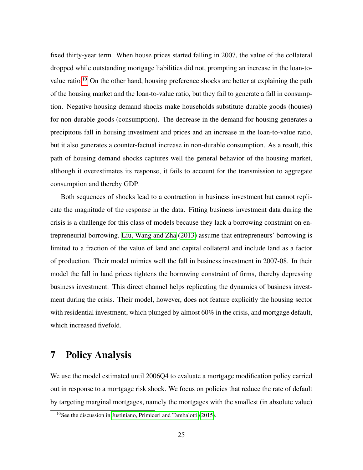fixed thirty-year term. When house prices started falling in 2007, the value of the collateral dropped while outstanding mortgage liabilities did not, prompting an increase in the loan-to-value ratio.<sup>[10](#page-26-1)</sup> On the other hand, housing preference shocks are better at explaining the path of the housing market and the loan-to-value ratio, but they fail to generate a fall in consumption. Negative housing demand shocks make households substitute durable goods (houses) for non-durable goods (consumption). The decrease in the demand for housing generates a precipitous fall in housing investment and prices and an increase in the loan-to-value ratio, but it also generates a counter-factual increase in non-durable consumption. As a result, this path of housing demand shocks captures well the general behavior of the housing market, although it overestimates its response, it fails to account for the transmission to aggregate consumption and thereby GDP.

Both sequences of shocks lead to a contraction in business investment but cannot replicate the magnitude of the response in the data. Fitting business investment data during the crisis is a challenge for this class of models because they lack a borrowing constraint on entrepreneurial borrowing. [Liu, Wang and Zha](#page-37-3) [\(2013\)](#page-37-3) assume that entrepreneurs' borrowing is limited to a fraction of the value of land and capital collateral and include land as a factor of production. Their model mimics well the fall in business investment in 2007-08. In their model the fall in land prices tightens the borrowing constraint of firms, thereby depressing business investment. This direct channel helps replicating the dynamics of business investment during the crisis. Their model, however, does not feature explicitly the housing sector with residential investment, which plunged by almost 60% in the crisis, and mortgage default, which increased fivefold.

# <span id="page-26-0"></span>7 Policy Analysis

We use the model estimated until 2006Q4 to evaluate a mortgage modification policy carried out in response to a mortgage risk shock. We focus on policies that reduce the rate of default by targeting marginal mortgages, namely the mortgages with the smallest (in absolute value)

<span id="page-26-1"></span><sup>10</sup>See the discussion in [Justiniano, Primiceri and Tambalotti](#page-37-4) [\(2015\)](#page-37-4).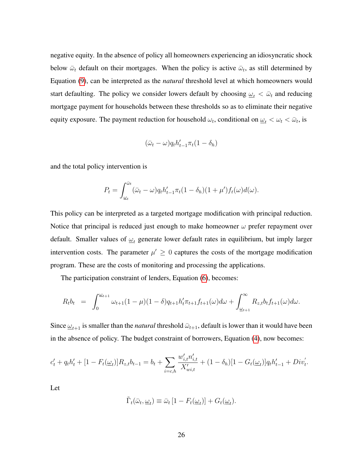negative equity. In the absence of policy all homeowners experiencing an idiosyncratic shock below  $\bar{\omega}_t$  default on their mortgages. When the policy is active  $\bar{\omega}_t$ , as still determined by Equation [\(9\)](#page-9-0), can be interpreted as the *natural* threshold level at which homeowners would start defaulting. The policy we consider lowers default by choosing  $\underline{\omega}_t < \overline{\omega}_t$  and reducing mortgage payment for households between these thresholds so as to eliminate their negative equity exposure. The payment reduction for household  $\omega_t$ , conditional on  $\underline{\omega}_t < \omega_t < \bar{\omega}_t$ , is

$$
(\bar{\omega}_t - \omega) q_t h'_{t-1} \pi_t (1 - \delta_h)
$$

and the total policy intervention is

$$
P_t = \int_{\underline{\omega}_t}^{\overline{\omega}_t} (\overline{\omega}_t - \omega) q_t h'_{t-1} \pi_t (1 - \delta_h) (1 + \mu') f_t(\omega) d(\omega).
$$

This policy can be interpreted as a targeted mortgage modification with principal reduction. Notice that principal is reduced just enough to make homeowner  $\omega$  prefer repayment over default. Smaller values of  $\underline{\omega}_t$  generate lower default rates in equilibrium, but imply larger intervention costs. The parameter  $\mu' \geq 0$  captures the costs of the mortgage modification program. These are the costs of monitoring and processing the applications.

The participation constraint of lenders, Equation [\(6\)](#page-8-0), becomes:

$$
R_t b_t = \int_0^{\omega_{t+1}} \omega_{t+1} (1-\mu)(1-\delta) q_{t+1} h'_t \pi_{t+1} f_{t+1}(\omega) d\omega + \int_{\omega_{t+1}}^{\infty} R_{z,t} b_t f_{t+1}(\omega) d\omega.
$$

Since  $\underline{\omega}_{t+1}$  is smaller than the *natural* threshold  $\overline{\omega}_{t+1}$ , default is lower than it would have been in the absence of policy. The budget constraint of borrowers, Equation [\(4\)](#page-7-0), now becomes:

$$
c'_{t} + q_{t}h'_{t} + [1 - F_{t}(\underline{\omega}_{t})]R_{z,t}b_{t-1} = b_{t} + \sum_{i=c,h} \frac{w'_{i,t}n'_{i,t}}{X'_{wi,t}} + (1 - \delta_{h})[1 - G_{t}(\underline{\omega}_{t})]q_{t}h'_{t-1} + Div'_{t}.
$$

Let

$$
\tilde{\Gamma}_t(\bar{\omega}_t, \underline{\omega}_t) \equiv \bar{\omega}_t [1 - F_t(\underline{\omega}_t)] + G_t(\underline{\omega}_t).
$$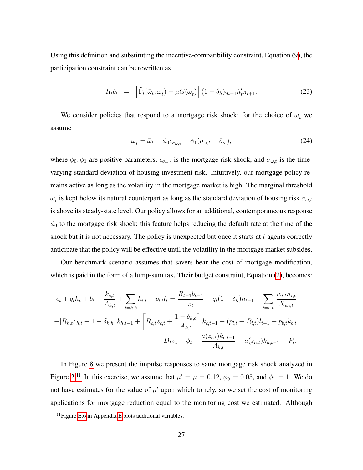Using this definition and substituting the incentive-compatibility constraint, Equation [\(9\)](#page-9-0), the participation constraint can be rewritten as

$$
R_t b_t = \left[ \tilde{\Gamma}_t(\bar{\omega}_t, \underline{\omega}_t) - \mu G(\underline{\omega}_t) \right] (1 - \delta_h) q_{t+1} h'_t \pi_{t+1}.
$$
 (23)

We consider policies that respond to a mortgage risk shock; for the choice of  $\underline{\omega}_t$  we assume

$$
\underline{\omega}_t = \bar{\omega}_t - \phi_0 \epsilon_{\sigma_{\omega, t}} - \phi_1 (\sigma_{\omega, t} - \bar{\sigma}_{\omega}), \tag{24}
$$

where  $\phi_0, \phi_1$  are positive parameters,  $\epsilon_{\sigma_{\omega,t}}$  is the mortgage risk shock, and  $\sigma_{\omega,t}$  is the timevarying standard deviation of housing investment risk. Intuitively, our mortgage policy remains active as long as the volatility in the mortgage market is high. The marginal threshold  $\underline{\omega}_t$  is kept below its natural counterpart as long as the standard deviation of housing risk  $\sigma_{\omega,t}$ is above its steady-state level. Our policy allows for an additional, contemporaneous response  $\phi_0$  to the mortgage risk shock; this feature helps reducing the default rate at the time of the shock but it is not necessary. The policy is unexpected but once it starts at  $t$  agents correctly anticipate that the policy will be effective until the volatility in the mortgage market subsides.

Our benchmark scenario assumes that savers bear the cost of mortgage modification, which is paid in the form of a lump-sum tax. Their budget constraint, Equation [\(2\)](#page-6-1), becomes:

$$
c_{t} + q_{t}h_{t} + b_{t} + \frac{k_{c,t}}{A_{k,t}} + \sum_{i=h,b} k_{i,t} + p_{l,t}l_{t} = \frac{R_{t-1}b_{t-1}}{\pi_{t}} + q_{t}(1 - \delta_{h})h_{t-1} + \sum_{i=c,h} \frac{w_{i,t}n_{i,t}}{X_{wi,t}}
$$

$$
+ [R_{h,t}z_{h,t} + 1 - \delta_{k,h}]k_{h,t-1} + \left[R_{c,t}z_{c,t} + \frac{1 - \delta_{k,c}}{A_{k,t}}\right]k_{c,t-1} + (p_{l,t} + R_{l,t})l_{t-1} + p_{b,t}k_{b,t}
$$

$$
+ Div_{t} - \phi_{t} - \frac{a(z_{c,t})k_{c,t-1}}{A_{k,t}} - a(z_{h,t})k_{h,t-1} - P_{t}.
$$

In Figure [8](#page-30-0) we present the impulse responses to same mortgage risk shock analyzed in Figure [2.](#page-18-0)<sup>[11](#page-28-0)</sup> In this exercise, we assume that  $\mu' = \mu = 0.12$ ,  $\phi_0 = 0.05$ , and  $\phi_1 = 1$ . We do not have estimates for the value of  $\mu'$  upon which to rely, so we set the cost of monitoring applications for mortgage reduction equal to the monitoring cost we estimated. Although

<span id="page-28-0"></span> $11$ Figure [E.6](#page-51-0) in Appendix [E](#page-45-0) plots additional variables.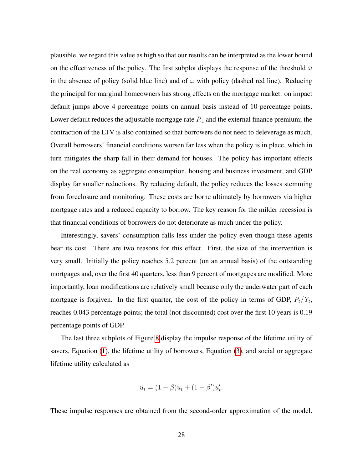plausible, we regard this value as high so that our results can be interpreted as the lower bound on the effectiveness of the policy. The first subplot displays the response of the threshold  $\bar{\omega}$ in the absence of policy (solid blue line) and of  $\omega$  with policy (dashed red line). Reducing the principal for marginal homeowners has strong effects on the mortgage market: on impact default jumps above 4 percentage points on annual basis instead of 10 percentage points. Lower default reduces the adjustable mortgage rate  $R_z$  and the external finance premium; the contraction of the LTV is also contained so that borrowers do not need to deleverage as much. Overall borrowers' financial conditions worsen far less when the policy is in place, which in turn mitigates the sharp fall in their demand for houses. The policy has important effects on the real economy as aggregate consumption, housing and business investment, and GDP display far smaller reductions. By reducing default, the policy reduces the losses stemming from foreclosure and monitoring. These costs are borne ultimately by borrowers via higher mortgage rates and a reduced capacity to borrow. The key reason for the milder recession is that financial conditions of borrowers do not deteriorate as much under the policy.

Interestingly, savers' consumption falls less under the policy even though these agents bear its cost. There are two reasons for this effect. First, the size of the intervention is very small. Initially the policy reaches 5.2 percent (on an annual basis) of the outstanding mortgages and, over the first 40 quarters, less than 9 percent of mortgages are modified. More importantly, loan modifications are relatively small because only the underwater part of each mortgage is forgiven. In the first quarter, the cost of the policy in terms of GDP,  $P_t/Y_t$ , reaches 0.043 percentage points; the total (not discounted) cost over the first 10 years is 0.19 percentage points of GDP.

The last three subplots of Figure [8](#page-30-0) display the impulse response of the lifetime utility of savers, Equation [\(1\)](#page-5-2), the lifetime utility of borrowers, Equation [\(3\)](#page-6-0), and social or aggregate lifetime utility calculated as

$$
\tilde{u}_t = (1 - \beta)u_t + (1 - \beta')u'_t.
$$

These impulse responses are obtained from the second-order approximation of the model.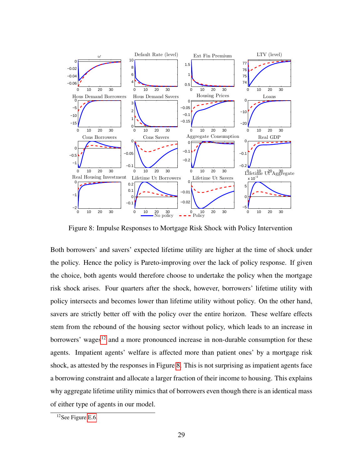<span id="page-30-0"></span>

Figure 8: Impulse Responses to Mortgage Risk Shock with Policy Intervention

Both borrowers' and savers' expected lifetime utility are higher at the time of shock under the policy. Hence the policy is Pareto-improving over the lack of policy response. If given the choice, both agents would therefore choose to undertake the policy when the mortgage risk shock arises. Four quarters after the shock, however, borrowers' lifetime utility with policy intersects and becomes lower than lifetime utility without policy. On the other hand, savers are strictly better off with the policy over the entire horizon. These welfare effects stem from the rebound of the housing sector without policy, which leads to an increase in borrowers' wages<sup>[12](#page-30-1)</sup> and a more pronounced increase in non-durable consumption for these agents. Impatient agents' welfare is affected more than patient ones' by a mortgage risk shock, as attested by the responses in Figure [8.](#page-30-0) This is not surprising as impatient agents face a borrowing constraint and allocate a larger fraction of their income to housing. This explains why aggregate lifetime utility mimics that of borrowers even though there is an identical mass of either type of agents in our model.

<span id="page-30-1"></span> $12$ See Figure [E.6.](#page-51-0)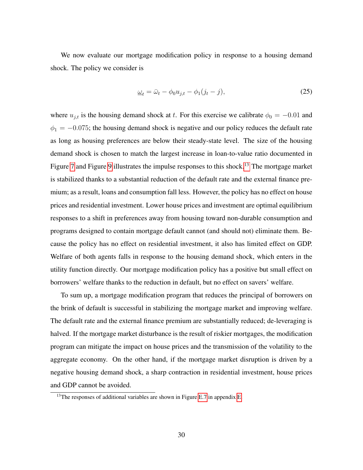We now evaluate our mortgage modification policy in response to a housing demand shock. The policy we consider is

$$
\underline{\omega}_t = \bar{\omega}_t - \phi_0 u_{j,t} - \phi_1 (j_t - j), \tag{25}
$$

where  $u_{j,t}$  is the housing demand shock at t. For this exercise we calibrate  $\phi_0 = -0.01$  and  $\phi_1 = -0.075$ ; the housing demand shock is negative and our policy reduces the default rate as long as housing preferences are below their steady-state level. The size of the housing demand shock is chosen to match the largest increase in loan-to-value ratio documented in Figure [7](#page-25-0) and Figure [9](#page-32-0) illustrates the impulse responses to this shock.<sup>[13](#page-31-0)</sup> The mortgage market is stabilized thanks to a substantial reduction of the default rate and the external finance premium; as a result, loans and consumption fall less. However, the policy has no effect on house prices and residential investment. Lower house prices and investment are optimal equilibrium responses to a shift in preferences away from housing toward non-durable consumption and programs designed to contain mortgage default cannot (and should not) eliminate them. Because the policy has no effect on residential investment, it also has limited effect on GDP. Welfare of both agents falls in response to the housing demand shock, which enters in the utility function directly. Our mortgage modification policy has a positive but small effect on borrowers' welfare thanks to the reduction in default, but no effect on savers' welfare.

To sum up, a mortgage modification program that reduces the principal of borrowers on the brink of default is successful in stabilizing the mortgage market and improving welfare. The default rate and the external finance premium are substantially reduced; de-leveraging is halved. If the mortgage market disturbance is the result of riskier mortgages, the modification program can mitigate the impact on house prices and the transmission of the volatility to the aggregate economy. On the other hand, if the mortgage market disruption is driven by a negative housing demand shock, a sharp contraction in residential investment, house prices and GDP cannot be avoided.

<span id="page-31-0"></span><sup>&</sup>lt;sup>13</sup>The responses of additional variables are shown in Figure [E.7](#page-52-0) in appendix [E.](#page-45-0)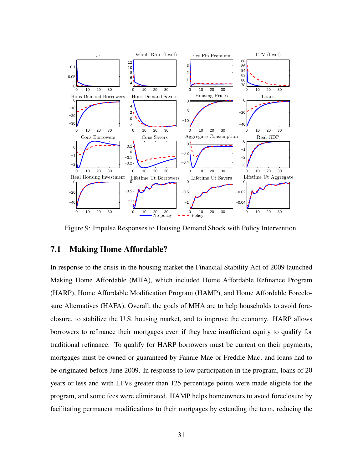<span id="page-32-0"></span>

Figure 9: Impulse Responses to Housing Demand Shock with Policy Intervention

## 7.1 Making Home Affordable?

In response to the crisis in the housing market the Financial Stability Act of 2009 launched Making Home Affordable (MHA), which included Home Affordable Refinance Program (HARP), Home Affordable Modification Program (HAMP), and Home Affordable Foreclosure Alternatives (HAFA). Overall, the goals of MHA are to help households to avoid foreclosure, to stabilize the U.S. housing market, and to improve the economy. HARP allows borrowers to refinance their mortgages even if they have insufficient equity to qualify for traditional refinance. To qualify for HARP borrowers must be current on their payments; mortgages must be owned or guaranteed by Fannie Mae or Freddie Mac; and loans had to be originated before June 2009. In response to low participation in the program, loans of 20 years or less and with LTVs greater than 125 percentage points were made eligible for the program, and some fees were eliminated. HAMP helps homeowners to avoid foreclosure by facilitating permanent modifications to their mortgages by extending the term, reducing the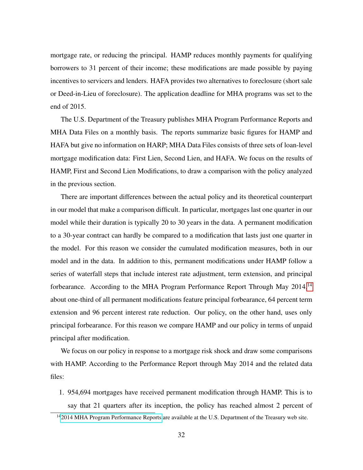mortgage rate, or reducing the principal. HAMP reduces monthly payments for qualifying borrowers to 31 percent of their income; these modifications are made possible by paying incentives to servicers and lenders. HAFA provides two alternatives to foreclosure (short sale or Deed-in-Lieu of foreclosure). The application deadline for MHA programs was set to the end of 2015.

The U.S. Department of the Treasury publishes MHA Program Performance Reports and MHA Data Files on a monthly basis. The reports summarize basic figures for HAMP and HAFA but give no information on HARP; MHA Data Files consists of three sets of loan-level mortgage modification data: First Lien, Second Lien, and HAFA. We focus on the results of HAMP, First and Second Lien Modifications, to draw a comparison with the policy analyzed in the previous section.

There are important differences between the actual policy and its theoretical counterpart in our model that make a comparison difficult. In particular, mortgages last one quarter in our model while their duration is typically 20 to 30 years in the data. A permanent modification to a 30-year contract can hardly be compared to a modification that lasts just one quarter in the model. For this reason we consider the cumulated modification measures, both in our model and in the data. In addition to this, permanent modifications under HAMP follow a series of waterfall steps that include interest rate adjustment, term extension, and principal forbearance. According to the MHA Program Performance Report Through May 20[14](#page-33-0),<sup>14</sup> about one-third of all permanent modifications feature principal forbearance, 64 percent term extension and 96 percent interest rate reduction. Our policy, on the other hand, uses only principal forbearance. For this reason we compare HAMP and our policy in terms of unpaid principal after modification.

We focus on our policy in response to a mortgage risk shock and draw some comparisons with HAMP. According to the Performance Report through May 2014 and the related data files:

1. 954,694 mortgages have received permanent modification through HAMP. This is to say that 21 quarters after its inception, the policy has reached almost 2 percent of

<span id="page-33-0"></span><sup>&</sup>lt;sup>14</sup>[2014 MHA Program Performance Reports](http://www.treasury.gov/initiatives/financial-stability/reports/Pages/Making-Home-Affordable-Program-Performance-Report.aspx) are available at the U.S. Department of the Treasury web site.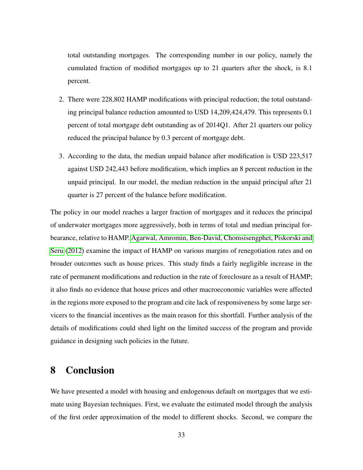total outstanding mortgages. The corresponding number in our policy, namely the cumulated fraction of modified mortgages up to 21 quarters after the shock, is 8.1 percent.

- 2. There were 228,802 HAMP modifications with principal reduction; the total outstanding principal balance reduction amounted to USD 14,209,424,479. This represents 0.1 percent of total mortgage debt outstanding as of 2014Q1. After 21 quarters our policy reduced the principal balance by 0.3 percent of mortgage debt.
- 3. According to the data, the median unpaid balance after modification is USD 223,517 against USD 242,443 before modification, which implies an 8 percent reduction in the unpaid principal. In our model, the median reduction in the unpaid principal after 21 quarter is 27 percent of the balance before modification.

The policy in our model reaches a larger fraction of mortgages and it reduces the principal of underwater mortgages more aggressively, both in terms of total and median principal forbearance, relative to HAMP. [Agarwal, Amromin, Ben-David, Chomsisengphet, Piskorski and](#page-35-0) [Seru](#page-35-0) [\(2012\)](#page-35-0) examine the impact of HAMP on various margins of renegotiation rates and on broader outcomes such as house prices. This study finds a fairly negligible increase in the rate of permanent modifications and reduction in the rate of foreclosure as a result of HAMP; it also finds no evidence that house prices and other macroeconomic variables were affected in the regions more exposed to the program and cite lack of responsiveness by some large servicers to the financial incentives as the main reason for this shortfall. Further analysis of the details of modifications could shed light on the limited success of the program and provide guidance in designing such policies in the future.

# <span id="page-34-0"></span>8 Conclusion

We have presented a model with housing and endogenous default on mortgages that we estimate using Bayesian techniques. First, we evaluate the estimated model through the analysis of the first order approximation of the model to different shocks. Second, we compare the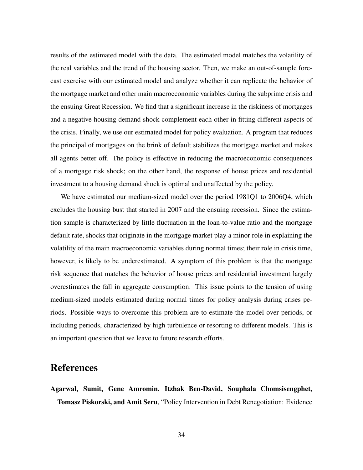results of the estimated model with the data. The estimated model matches the volatility of the real variables and the trend of the housing sector. Then, we make an out-of-sample forecast exercise with our estimated model and analyze whether it can replicate the behavior of the mortgage market and other main macroeconomic variables during the subprime crisis and the ensuing Great Recession. We find that a significant increase in the riskiness of mortgages and a negative housing demand shock complement each other in fitting different aspects of the crisis. Finally, we use our estimated model for policy evaluation. A program that reduces the principal of mortgages on the brink of default stabilizes the mortgage market and makes all agents better off. The policy is effective in reducing the macroeconomic consequences of a mortgage risk shock; on the other hand, the response of house prices and residential investment to a housing demand shock is optimal and unaffected by the policy.

We have estimated our medium-sized model over the period 1981Q1 to 2006Q4, which excludes the housing bust that started in 2007 and the ensuing recession. Since the estimation sample is characterized by little fluctuation in the loan-to-value ratio and the mortgage default rate, shocks that originate in the mortgage market play a minor role in explaining the volatility of the main macroeconomic variables during normal times; their role in crisis time, however, is likely to be underestimated. A symptom of this problem is that the mortgage risk sequence that matches the behavior of house prices and residential investment largely overestimates the fall in aggregate consumption. This issue points to the tension of using medium-sized models estimated during normal times for policy analysis during crises periods. Possible ways to overcome this problem are to estimate the model over periods, or including periods, characterized by high turbulence or resorting to different models. This is an important question that we leave to future research efforts.

# References

<span id="page-35-0"></span>Agarwal, Sumit, Gene Amromin, Itzhak Ben-David, Souphala Chomsisengphet, Tomasz Piskorski, and Amit Seru, "Policy Intervention in Debt Renegotiation: Evidence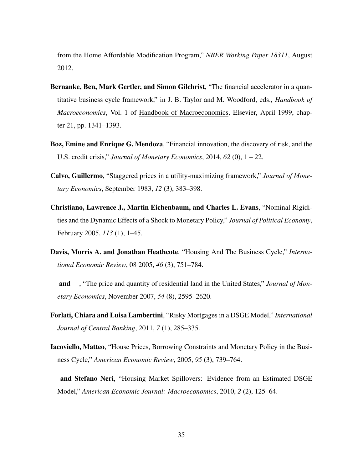from the Home Affordable Modification Program," *NBER Working Paper 18311*, August 2012.

- <span id="page-36-5"></span>Bernanke, Ben, Mark Gertler, and Simon Gilchrist, "The financial accelerator in a quantitative business cycle framework," in J. B. Taylor and M. Woodford, eds., *Handbook of Macroeconomics*, Vol. 1 of Handbook of Macroeconomics, Elsevier, April 1999, chapter 21, pp. 1341–1393.
- <span id="page-36-7"></span>Boz, Emine and Enrique G. Mendoza, "Financial innovation, the discovery of risk, and the U.S. credit crisis," *Journal of Monetary Economics*, 2014, *62* (0), 1 – 22.
- <span id="page-36-6"></span>Calvo, Guillermo, "Staggered prices in a utility-maximizing framework," *Journal of Monetary Economics*, September 1983, *12* (3), 383–398.
- <span id="page-36-3"></span>Christiano, Lawrence J., Martin Eichenbaum, and Charles L. Evans, "Nominal Rigidities and the Dynamic Effects of a Shock to Monetary Policy," *Journal of Political Economy*, February 2005, *113* (1), 1–45.
- <span id="page-36-4"></span>Davis, Morris A. and Jonathan Heathcote, "Housing And The Business Cycle," *International Economic Review*, 08 2005, *46* (3), 751–784.
- <span id="page-36-8"></span> $\Box$  and  $\Box$ , "The price and quantity of residential land in the United States," *Journal of Monetary Economics*, November 2007, *54* (8), 2595–2620.
- <span id="page-36-1"></span>Forlati, Chiara and Luisa Lambertini, "Risky Mortgages in a DSGE Model," *International Journal of Central Banking*, 2011, *7* (1), 285–335.
- <span id="page-36-2"></span>Iacoviello, Matteo, "House Prices, Borrowing Constraints and Monetary Policy in the Business Cycle," *American Economic Review*, 2005, *95* (3), 739–764.
- <span id="page-36-0"></span>and Stefano Neri, "Housing Market Spillovers: Evidence from an Estimated DSGE Model," *American Economic Journal: Macroeconomics*, 2010, *2* (2), 125–64.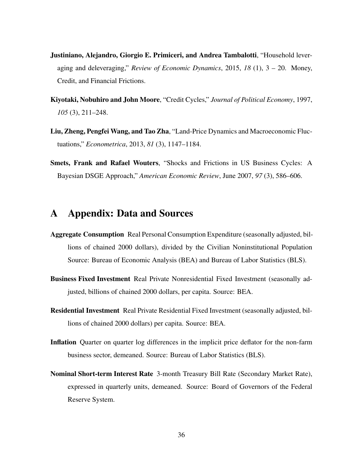- <span id="page-37-4"></span>Justiniano, Alejandro, Giorgio E. Primiceri, and Andrea Tambalotti, "Household leveraging and deleveraging," *Review of Economic Dynamics*, 2015, *18* (1), 3 – 20. Money, Credit, and Financial Frictions.
- <span id="page-37-0"></span>Kiyotaki, Nobuhiro and John Moore, "Credit Cycles," *Journal of Political Economy*, 1997, *105* (3), 211–248.
- <span id="page-37-3"></span>Liu, Zheng, Pengfei Wang, and Tao Zha, "Land-Price Dynamics and Macroeconomic Fluctuations," *Econometrica*, 2013, *81* (3), 1147–1184.
- <span id="page-37-1"></span>Smets, Frank and Rafael Wouters, "Shocks and Frictions in US Business Cycles: A Bayesian DSGE Approach," *American Economic Review*, June 2007, *97* (3), 586–606.

## <span id="page-37-2"></span>A Appendix: Data and Sources

- Aggregate Consumption Real Personal Consumption Expenditure (seasonally adjusted, billions of chained 2000 dollars), divided by the Civilian Noninstitutional Population Source: Bureau of Economic Analysis (BEA) and Bureau of Labor Statistics (BLS).
- Business Fixed Investment Real Private Nonresidential Fixed Investment (seasonally adjusted, billions of chained 2000 dollars, per capita. Source: BEA.
- Residential Investment Real Private Residential Fixed Investment (seasonally adjusted, billions of chained 2000 dollars) per capita. Source: BEA.
- Inflation Quarter on quarter log differences in the implicit price deflator for the non-farm business sector, demeaned. Source: Bureau of Labor Statistics (BLS).
- Nominal Short-term Interest Rate 3-month Treasury Bill Rate (Secondary Market Rate), expressed in quarterly units, demeaned. Source: Board of Governors of the Federal Reserve System.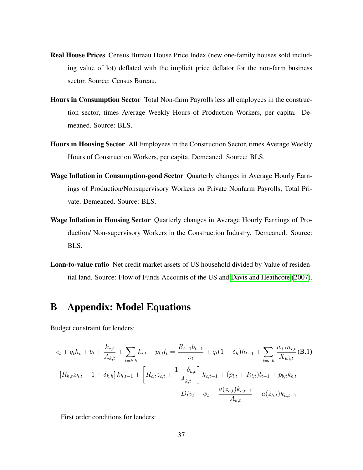- Real House Prices Census Bureau House Price Index (new one-family houses sold including value of lot) deflated with the implicit price deflator for the non-farm business sector. Source: Census Bureau.
- Hours in Consumption Sector Total Non-farm Payrolls less all employees in the construction sector, times Average Weekly Hours of Production Workers, per capita. Demeaned. Source: BLS.
- Hours in Housing Sector All Employees in the Construction Sector, times Average Weekly Hours of Construction Workers, per capita. Demeaned. Source: BLS.
- Wage Inflation in Consumption-good Sector Quarterly changes in Average Hourly Earnings of Production/Nonsupervisory Workers on Private Nonfarm Payrolls, Total Private. Demeaned. Source: BLS.
- Wage Inflation in Housing Sector Quarterly changes in Average Hourly Earnings of Production/ Non-supervisory Workers in the Construction Industry. Demeaned. Source: BLS.
- Loan-to-value ratio Net credit market assets of US household divided by Value of residential land. Source: Flow of Funds Accounts of the US and [Davis and Heathcote](#page-36-8) [\(2007\)](#page-36-8).

## <span id="page-38-0"></span>B Appendix: Model Equations

Budget constraint for lenders:

$$
c_{t} + q_{t}h_{t} + b_{t} + \frac{k_{c,t}}{A_{k,t}} + \sum_{i=h,b} k_{i,t} + p_{l,t}l_{t} = \frac{R_{t-1}b_{t-1}}{\pi_{t}} + q_{t}(1 - \delta_{h})h_{t-1} + \sum_{i=c,h} \frac{w_{i,t}n_{i,t}}{X_{wi,t}} \text{(B.1)}
$$

$$
+ [R_{h,t}z_{h,t} + 1 - \delta_{k,h}]k_{h,t-1} + \left[R_{c,t}z_{c,t} + \frac{1 - \delta_{k,c}}{A_{k,t}}\right]k_{c,t-1} + (p_{l,t} + R_{l,t})l_{t-1} + p_{b,t}k_{b,t}
$$

$$
+ Div_{t} - \phi_{t} - \frac{a(z_{c,t})k_{c,t-1}}{A_{k,t}} - a(z_{h,t})k_{h,t-1}
$$

First order conditions for lenders: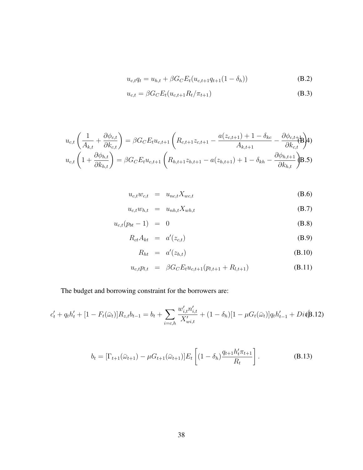$$
u_{c,t}q_t = u_{h,t} + \beta G_C E_t (u_{c,t+1}q_{t+1}(1 - \delta_h))
$$
 (B.2)

$$
u_{c,t} = \beta G_C E_t (u_{c,t+1} R_t / \pi_{t+1})
$$
\n(B.3)

$$
u_{c,t} \left( \frac{1}{A_{k,t}} + \frac{\partial \phi_{c,t}}{\partial k_{c,t}} \right) = \beta G_C E_t u_{c,t+1} \left( R_{c,t+1} z_{c,t+1} - \frac{a(z_{c,t+1}) + 1 - \delta_{kc}}{A_{k,t+1}} - \frac{\partial \phi_{c,t}}{\partial k_{c,t}} \mathbf{B} \right)
$$
  

$$
u_{c,t} \left( 1 + \frac{\partial \phi_{h,t}}{\partial k_{h,t}} \right) = \beta G_C E_t u_{c,t+1} \left( R_{h,t+1} z_{h,t+1} - a(z_{h,t+1}) + 1 - \delta_{kh} - \frac{\partial \phi_{h,t+1}}{\partial k_{h,t}} \mathbf{B} . 5 \right)
$$

$$
u_{c,t}w_{c,t} = u_{nc,t}X_{wc,t}
$$
 (B.6)

$$
u_{c,t}w_{h,t} = u_{nh,t}X_{wh,t}
$$
 (B.7)

$$
u_{c,t}(p_{bt}-1) = 0 \t\t (B.8)
$$

$$
R_{ct}A_{kt} = a'(z_{c,t}) \tag{B.9}
$$

$$
R_{ht} = a'(z_{h,t}) \tag{B.10}
$$

$$
u_{c,t}p_{l,t} = \beta G_C E_t u_{c,t+1}(p_{l,t+1} + R_{l,t+1})
$$
\n(B.11)

The budget and borrowing constraint for the borrowers are:

$$
c'_{t} + q_{t}h'_{t} + [1 - F_{t}(\bar{\omega}_{t})]R_{z,t}b_{t-1} = b_{t} + \sum_{i=c,h} \frac{w'_{i,t}n'_{i,t}}{X'_{wi,t}} + (1 - \delta_{h})[1 - \mu G_{t}(\bar{\omega}_{t})]q_{t}h'_{t-1} + Di\Phi.12)
$$

$$
b_t = [\Gamma_{t+1}(\bar{\omega}_{t+1}) - \mu G_{t+1}(\bar{\omega}_{t+1})] E_t \left[ (1 - \delta_h) \frac{q_{t+1} h'_t \pi_{t+1}}{R_t} \right].
$$
 (B.13)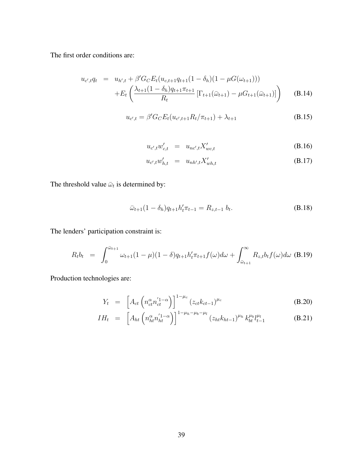The first order conditions are:

$$
u_{c',t}q_t = u_{h',t} + \beta' G_C E_t (u_{c,t+1}q_{t+1}(1 - \delta_h)(1 - \mu G(\omega_{t+1})))
$$
  
+ 
$$
E_t \left( \frac{\lambda_{t+1}(1 - \delta_h)q_{t+1}\pi_{t+1}}{R_t} \left[ \Gamma_{t+1}(\bar{\omega}_{t+1}) - \mu G_{t+1}(\bar{\omega}_{t+1}) \right] \right)
$$
 (B.14)

$$
u_{c',t} = \beta' G_C E_t (u_{c',t+1} R_t / \pi_{t+1}) + \lambda_{t+1}
$$
\n(B.15)

$$
u_{c',t}w'_{c,t} = u_{nc',t}X'_{wc,t}
$$
 (B.16)

$$
u_{c',t}w'_{h,t} = u_{nh',t}X'_{wh,t}
$$
 (B.17)

The threshold value  $\bar{\omega}_t$  is determined by:

$$
\bar{\omega}_{t+1}(1 - \delta_h)q_{t+1}h'_t \pi_{t-1} = R_{z,t-1} b_t.
$$
\n(B.18)

The lenders' participation constraint is:

$$
R_t b_t = \int_0^{\bar{\omega}_{t+1}} \omega_{t+1} (1 - \mu) (1 - \delta) q_{t+1} h'_t \pi_{t+1} f(\omega) d\omega + \int_{\bar{\omega}_{t+1}}^{\infty} R_{z,t} b_t f(\omega) d\omega \quad (B.19)
$$

Production technologies are:

$$
Y_t = \left[ A_{ct} \left( n_{ct}^{\alpha} n_{ct}^{'1-\alpha} \right) \right]^{1-\mu_c} \left( z_{ct} k_{ct-1} \right)^{\mu_c} \tag{B.20}
$$

$$
IH_t = \left[A_{ht}\left(n_{ht}^{\alpha}n_{ht}^{'1-\alpha}\right)\right]^{1-\mu_h-\mu_b-\mu_l}(z_{ht}k_{ht-1})^{\mu_h}k_{bt}^{\mu_b}l_{t-1}^{\mu_l}
$$
(B.21)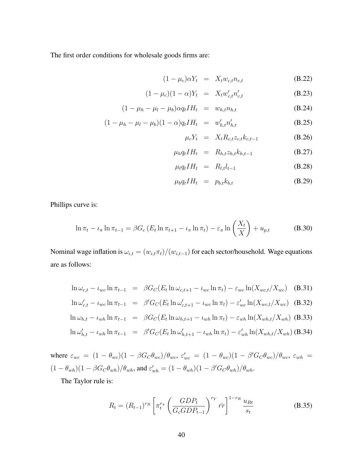The first order conditions for wholesale goods firms are:

$$
(1 - \mu_c)\alpha Y_t = X_t w_{c,t} n_{c,t} \tag{B.22}
$$

$$
(1 - \mu_c)(1 - \alpha)Y_t = X_t w'_{c,t} n'_{c,t}
$$
 (B.23)

$$
(1 - \mu_h - \mu_l - \mu_b)\alpha q_t H_t = w_{h,t} n_{h,t}
$$
 (B.24)

$$
(1 - \mu_h - \mu_l - \mu_b)(1 - \alpha)q_t H_t = w'_{h,t} n'_{h,t}
$$
\n(B.25)

$$
\mu_c Y_t = X_t R_{c,t} z_{c,t} k_{c,t-1} \tag{B.26}
$$

$$
\mu_h q_t H_t = R_{h,t} z_{h,t} k_{h,t-1} \tag{B.27}
$$

$$
\mu_l q_t H_t = R_{l,t} l_{t-1} \tag{B.28}
$$

$$
\mu_b q_t H_t = p_{b,t} k_{b,t} \tag{B.29}
$$

Phillips curve is:

$$
\ln \pi_t - \iota_\pi \ln \pi_{t-1} = \beta G_c (E_t \ln \pi_{t+1} - \iota_\pi \ln \pi_t) - \varepsilon_\pi \ln \left(\frac{X_t}{X}\right) + u_{p,t}
$$
 (B.30)

Nominal wage inflation is  $\omega_{i,t} = (w_{i,t} \pi_t)/(w_{i,t-1})$  for each sector/household. Wage equations are as follows:

$$
\ln \omega_{c,t} - \iota_{wc} \ln \pi_{t-1} = \beta G_C(E_t \ln \omega_{c,t+1} - \iota_{wc} \ln \pi_t) - \varepsilon_{wc} \ln(X_{wc,t}/X_{wc}) \quad (B.31)
$$

$$
\ln \omega'_{c,t} - \iota_{wc} \ln \pi_{t-1} = \beta' G_C(E_t \ln \omega'_{c,t+1} - \iota_{wc} \ln \pi_t) - \varepsilon'_{wc} \ln(X_{wc,t}/X_{wc})
$$
 (B.32)

$$
\ln \omega_{h,t} - \iota_{wh} \ln \pi_{t-1} = \beta G_C(E_t \ln \omega_{h,t+1} - \iota_{wh} \ln \pi_t) - \varepsilon_{wh} \ln(X_{wh,t}/X_{wh})
$$
 (B.33)

$$
\ln \omega'_{h,t} - \iota_{wh} \ln \pi_{t-1} = \beta' G_C(E_t \ln \omega'_{h,t+1} - \iota_{wh} \ln \pi_t) - \varepsilon'_{wh} \ln (X_{wh,t}/X_{wh})
$$
 (B.34)

where  $\varepsilon_{wc} = (1 - \theta_{wc})(1 - \beta G_C \theta_{wc})/\theta_{wc}$ ,  $\varepsilon'_{wc} = (1 - \theta_{wc})(1 - \beta' G_C \theta_{wc})/\theta_{wc}$ ,  $\varepsilon_{wh} =$  $(1 - \theta_{wh})(1 - \beta G_C \theta_{wh})/\theta_{wh}$ , and  $\varepsilon'_{wh} = (1 - \theta_{wh})(1 - \beta' G_C \theta_{wh})/\theta_{wh}$ .

The Taylor rule is:

$$
R_t = (R_{t-1})^{r_R} \left[ \pi_t^{r_{\pi}} \left( \frac{GDP_t}{G_c GDP_{t-1}} \right)^{r_Y} \bar{r} \right]^{1-r_R} \frac{u_{Rt}}{s_t}
$$
(B.35)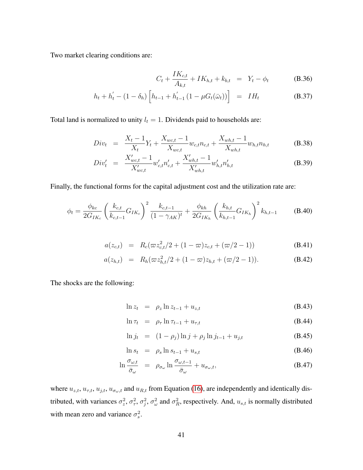Two market clearing conditions are:

$$
C_t + \frac{IK_{c,t}}{A_{k,t}} + IK_{h,t} + k_{b,t} = Y_t - \phi_t
$$
 (B.36)

$$
h_t + h'_t - (1 - \delta_h) \left[ h_{t-1} + h'_{t-1} \left( 1 - \mu G_t(\bar{\omega}_t) \right) \right] = IH_t
$$
 (B.37)

Total land is normalized to unity  $l_t = 1$ . Dividends paid to households are:

$$
Div_t = \frac{X_t - 1}{X_t} Y_t + \frac{X_{wc,t} - 1}{X_{wc,t}} w_{c,t} n_{c,t} + \frac{X_{wh,t} - 1}{X_{wh,t}} w_{h,t} n_{h,t}
$$
 (B.38)

$$
Div'_{t} = \frac{X'_{wc,t} - 1}{X'_{wc,t}} w'_{c,t} n'_{c,t} + \frac{X'_{wh,t} - 1}{X'_{wh,t}} w'_{h,t} n'_{h,t}
$$
(B.39)

Finally, the functional forms for the capital adjustment cost and the utilization rate are:

$$
\phi_t = \frac{\phi_{kc}}{2G_{IK_c}} \left(\frac{k_{c,t}}{k_{c,t-1}} G_{IK_c}\right)^2 \frac{k_{c,t-1}}{(1 - \gamma_{AK})^t} + \frac{\phi_{kh}}{2G_{IK_h}} \left(\frac{k_{h,t}}{k_{h,t-1}} G_{IK_h}\right)^2 k_{h,t-1}
$$
(B.40)

$$
a(z_{c,t}) = R_c(\varpi z_{c,t}^2/2 + (1-\varpi)z_{c,t} + (\varpi/2 - 1))
$$
 (B.41)

$$
a(z_{h,t}) = R_h(\varpi z_{h,t}^2/2 + (1-\varpi)z_{h,t} + (\varpi/2 - 1)).
$$
 (B.42)

The shocks are the following:

$$
\ln z_t = \rho_z \ln z_{t-1} + u_{z,t} \tag{B.43}
$$

$$
\ln \tau_t = \rho_\tau \ln \tau_{t-1} + u_{\tau,t} \tag{B.44}
$$

$$
\ln j_t = (1 - \rho_j) \ln j + \rho_j \ln j_{t-1} + u_{j,t} \tag{B.45}
$$

$$
\ln s_t = \rho_s \ln s_{t-1} + u_{s,t} \tag{B.46}
$$

$$
\ln \frac{\sigma_{\omega,t}}{\bar{\sigma}_{\omega}} = \rho_{\sigma_{\omega}} \ln \frac{\sigma_{\omega,t-1}}{\bar{\sigma}_{\omega}} + u_{\sigma_{\omega},t},
$$
\n(B.47)

where  $u_{z,t}$ ,  $u_{\tau,t}$ ,  $u_{j,t}$ ,  $u_{\sigma_\omega,t}$  and  $u_{R,t}$  from Equation [\(16\)](#page-11-0), are independently and identically distributed, with variances  $\sigma_z^2$ ,  $\sigma_{\tau}^2$ ,  $\sigma_{\tau}^2$ ,  $\sigma_{\omega}^2$  and  $\sigma_R^2$ , respectively. And,  $u_{s,t}$  is normally distributed with mean zero and variance  $\sigma_s^2$ .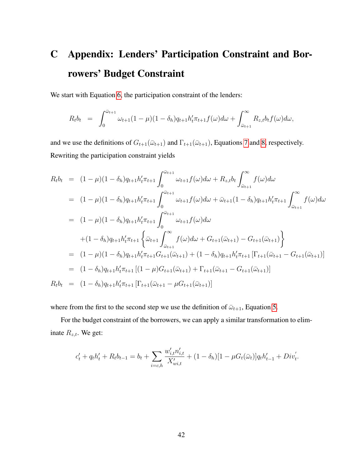# <span id="page-43-0"></span>C Appendix: Lenders' Participation Constraint and Borrowers' Budget Constraint

We start with Equation [6,](#page-8-0) the participation constraint of the lenders:

$$
R_t b_t = \int_0^{\bar{\omega}_{t+1}} \omega_{t+1} (1-\mu)(1-\delta_h) q_{t+1} h'_t \pi_{t+1} f(\omega) d\omega + \int_{\bar{\omega}_{t+1}}^{\infty} R_{z,t} b_t f(\omega) d\omega,
$$

and we use the definitions of  $G_{t+1}(\bar{\omega}_{t+1})$  and  $\Gamma_{t+1}(\bar{\omega}_{t+1})$ , Equations [7](#page-8-1) and [8,](#page-8-2) respectively. Rewriting the participation constraint yields

$$
R_{t}b_{t} = (1 - \mu)(1 - \delta_{h})q_{t+1}h'_{t}\pi_{t+1} \int_{0}^{\bar{\omega}_{t+1}} \omega_{t+1}f(\omega)d\omega + R_{z,t}b_{t} \int_{\bar{\omega}_{t+1}}^{\infty} f(\omega)d\omega
$$
  
\n
$$
= (1 - \mu)(1 - \delta_{h})q_{t+1}h'_{t}\pi_{t+1} \int_{0}^{\bar{\omega}_{t+1}} \omega_{t+1}f(\omega)d\omega + \bar{\omega}_{t+1}(1 - \delta_{h})q_{t+1}h'_{t}\pi_{t+1} \int_{\bar{\omega}_{t+1}}^{\infty} f(\omega)d\omega
$$
  
\n
$$
= (1 - \mu)(1 - \delta_{h})q_{t+1}h'_{t}\pi_{t+1} \int_{0}^{\bar{\omega}_{t+1}} \omega_{t+1}f(\omega)d\omega
$$
  
\n
$$
+ (1 - \delta_{h})q_{t+1}h'_{t}\pi_{t+1} \left\{ \bar{\omega}_{t+1} \int_{\bar{\omega}_{t+1}}^{\infty} f(\omega)d\omega + G_{t+1}(\bar{\omega}_{t+1}) - G_{t+1}(\bar{\omega}_{t+1}) \right\}
$$
  
\n
$$
= (1 - \mu)(1 - \delta_{h})q_{t+1}h'_{t}\pi_{t+1}G_{t+1}(\bar{\omega}_{t+1}) + (1 - \delta_{h})q_{t+1}h'_{t}\pi_{t+1} [\Gamma_{t+1}(\bar{\omega}_{t+1} - G_{t+1}(\bar{\omega}_{t+1})]
$$
  
\n
$$
= (1 - \delta_{h})q_{t+1}h'_{t}\pi_{t+1} [(1 - \mu)G_{t+1}(\bar{\omega}_{t+1}) + \Gamma_{t+1}(\bar{\omega}_{t+1} - G_{t+1}(\bar{\omega}_{t+1}))]
$$
  
\n
$$
R_{t}b_{t} = (1 - \delta_{h})q_{t+1}h'_{t}\pi_{t+1} [\Gamma_{t+1}(\bar{\omega}_{t+1} - \mu G_{t+1}(\bar{\omega}_{t+1})]
$$

where from the first to the second step we use the definition of  $\bar{\omega}_{t+1}$ , Equation [5.](#page-7-1)

For the budget constraint of the borrowers, we can apply a similar transformation to eliminate  $R_{z,t}$ . We get:

$$
c'_{t} + q_{t}h'_{t} + R_{t}b_{t-1} = b_{t} + \sum_{i=c,h} \frac{w'_{i,t}n'_{i,t}}{X'_{wi,t}} + (1 - \delta_{h})[1 - \mu G_{t}(\bar{\omega}_{t})]q_{t}h'_{t-1} + Div'_{t}.
$$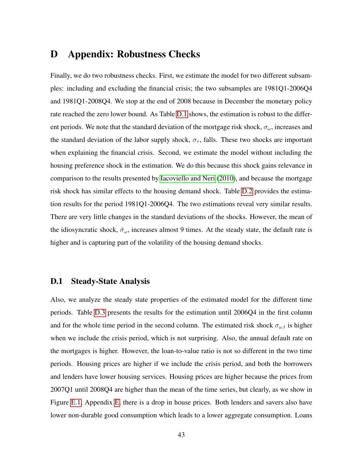# <span id="page-44-0"></span>D Appendix: Robustness Checks

Finally, we do two robustness checks. First, we estimate the model for two different subsamples: including and excluding the financial crisis; the two subsamples are 1981Q1-2006Q4 and 1981Q1-2008Q4. We stop at the end of 2008 because in December the monetary policy rate reached the zero lower bound. As Table [D.1](#page-45-1) shows, the estimation is robust to the different periods. We note that the standard deviation of the mortgage risk shock,  $\sigma_{\omega}$ , increases and the standard deviation of the labor supply shock,  $\sigma_{\tau}$ , falls. These two shocks are important when explaining the financial crisis. Second, we estimate the model without including the housing preference shock in the estimation. We do this because this shock gains relevance in comparison to the results presented by [Iacoviello and Neri](#page-36-0) [\(2010\)](#page-36-0), and because the mortgage risk shock has similar effects to the housing demand shock. Table [D.2](#page-53-0) provides the estimation results for the period 1981Q1-2006Q4. The two estimations reveal very similar results. There are very little changes in the standard deviations of the shocks. However, the mean of the idiosyncratic shock,  $\bar{\sigma}_{\omega}$ , increases almost 9 times. At the steady state, the default rate is higher and is capturing part of the volatility of the housing demand shocks.

## D.1 Steady-State Analysis

Also, we analyze the steady state properties of the estimated model for the different time periods. Table [D.3](#page-53-1) presents the results for the estimation until 2006Q4 in the first column and for the whole time period in the second column. The estimated risk shock  $\sigma_{\omega,t}$  is higher when we include the crisis period, which is not surprising. Also, the annual default rate on the mortgages is higher. However, the loan-to-value ratio is not so different in the two time periods. Housing prices are higher if we include the crisis period, and both the borrowers and lenders have lower housing services. Housing prices are higher because the prices from 2007Q1 until 2008Q4 are higher than the mean of the time series, but clearly, as we show in Figure [E.1,](#page-46-0) Appendix [E,](#page-45-0) there is a drop in house prices. Both lenders and savers also have lower non-durable good consumption which leads to a lower aggregate consumption. Loans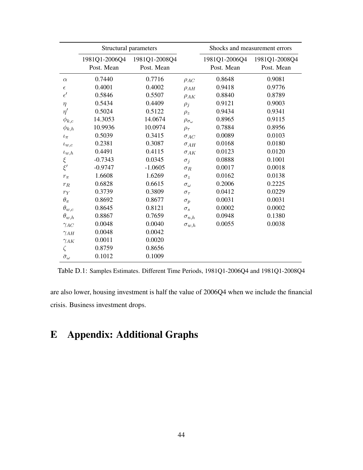<span id="page-45-1"></span>

|                         | Structural parameters       |                             |                          | Shocks and measurement errors |                             |
|-------------------------|-----------------------------|-----------------------------|--------------------------|-------------------------------|-----------------------------|
|                         | 1981Q1-2006Q4<br>Post. Mean | 1981Q1-2008Q4<br>Post. Mean |                          | 1981Q1-2006Q4<br>Post. Mean   | 1981Q1-2008Q4<br>Post. Mean |
| $\alpha$                | 0.7440                      | 0.7716                      | $\rho_{AC}$              | 0.8648                        | 0.9081                      |
| $\epsilon$              | 0.4001                      | 0.4002                      | $\rho_{AH}$              | 0.9418                        | 0.9776                      |
| $\epsilon'$             | 0.5846                      | 0.5507                      | $\rho_{AK}$              | 0.8840                        | 0.8789                      |
| $\eta$                  | 0.5434                      | 0.4409                      | $\rho_j$                 | 0.9121                        | 0.9003                      |
| $\eta'$                 | 0.5024                      | 0.5122                      | $\rho_z$                 | 0.9434                        | 0.9341                      |
| $\phi_{k,c}$            | 14.3053                     | 14.0674                     | $\rho_{\sigma_{\omega}}$ | 0.8965                        | 0.9115                      |
| $\phi_{k,h}$            | 10.9936                     | 10.0974                     | $\rho_{\tau}$            | 0.7884                        | 0.8956                      |
| $\iota_{\pi}$           | 0.5039                      | 0.3415                      | $\sigma_{AC}$            | 0.0089                        | 0.0103                      |
| $\iota_{w,c}$           | 0.2381                      | 0.3087                      | $\sigma_{AH}$            | 0.0168                        | 0.0180                      |
| $\iota_{w,h}$           | 0.4491                      | 0.4115                      | $\sigma_{AK}$            | 0.0123                        | 0.0120                      |
| $\xi$                   | $-0.7343$                   | 0.0345                      | $\sigma_j$               | 0.0888                        | 0.1001                      |
| $\xi'$                  | $-0.9747$                   | $-1.0605$                   | $\sigma_R$               | 0.0017                        | 0.0018                      |
| $r_{\pi}$               | 1.6608                      | 1.6269                      | $\sigma_z$               | 0.0162                        | 0.0138                      |
| $r_R$                   | 0.6828                      | 0.6615                      | $\sigma_{\omega}$        | 0.2006                        | 0.2225                      |
| $r_Y$                   | 0.3739                      | 0.3809                      | $\sigma_{\tau}$          | 0.0412                        | 0.0229                      |
| $\theta_{\pi}$          | 0.8692                      | 0.8677                      | $\sigma_p$               | 0.0031                        | 0.0031                      |
| $\theta_{w,c}$          | 0.8645                      | 0.8121                      | $\sigma_s$               | 0.0002                        | 0.0002                      |
| $\theta_{w,h}$          | 0.8867                      | 0.7659                      | $\sigma_{n,h}$           | 0.0948                        | 0.1380                      |
| $\gamma_{AC}$           | 0.0048                      | 0.0040                      | $\sigma_{w,h}$           | 0.0055                        | 0.0038                      |
| $\gamma_{AH}$           | 0.0048                      | 0.0042                      |                          |                               |                             |
| $\gamma_{AK}$           | 0.0011                      | 0.0020                      |                          |                               |                             |
| $\zeta$                 | 0.8759                      | 0.8656                      |                          |                               |                             |
| $\bar{\sigma}_{\omega}$ | 0.1012                      | 0.1009                      |                          |                               |                             |

Table D.1: Samples Estimates. Different Time Periods, 1981Q1-2006Q4 and 1981Q1-2008Q4

are also lower, housing investment is half the value of 2006Q4 when we include the financial crisis. Business investment drops.

# <span id="page-45-0"></span>E Appendix: Additional Graphs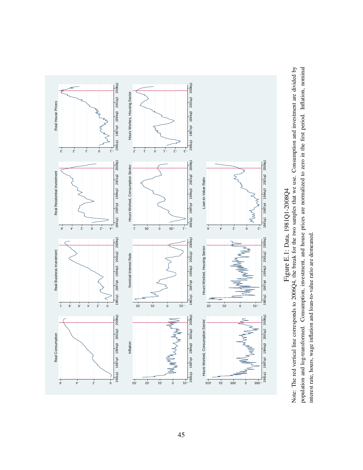<span id="page-46-0"></span>

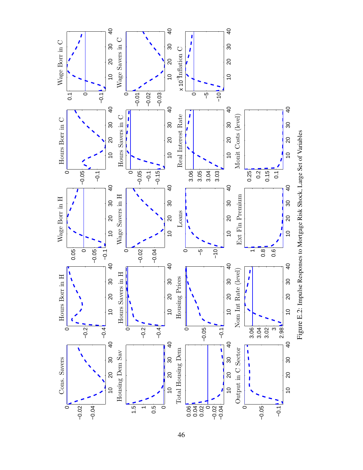<span id="page-47-0"></span>

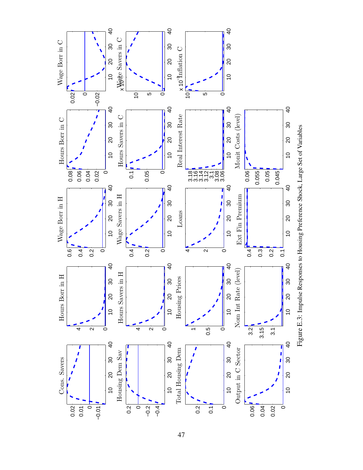<span id="page-48-0"></span>

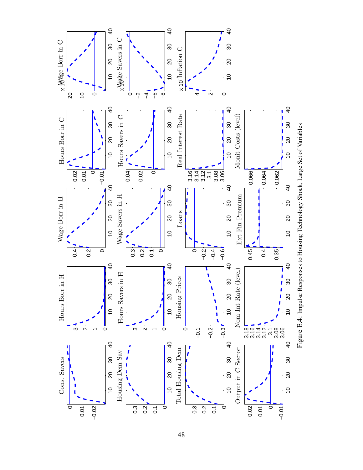<span id="page-49-0"></span>

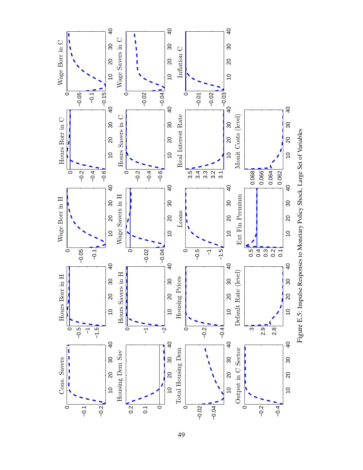<span id="page-50-0"></span>



49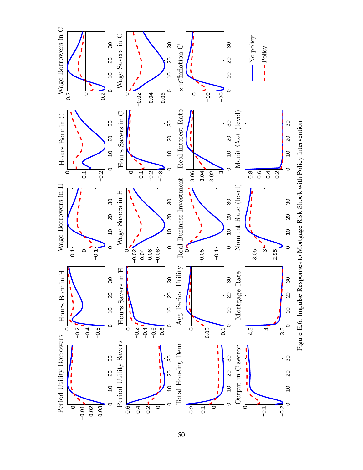<span id="page-51-0"></span>

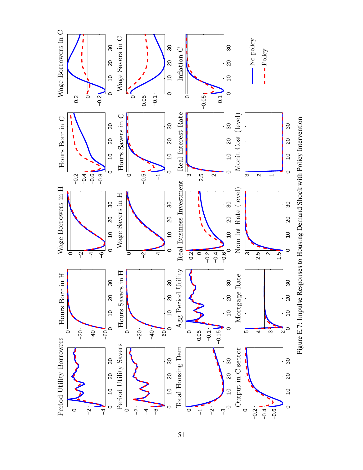<span id="page-52-0"></span>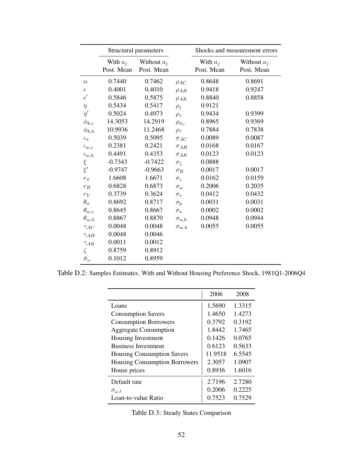<span id="page-53-0"></span>

|                         | Structural parameters    |                             |                          | Shocks and measurement errors |                             |  |
|-------------------------|--------------------------|-----------------------------|--------------------------|-------------------------------|-----------------------------|--|
|                         | With $a_j$<br>Post. Mean | Without $a_j$<br>Post. Mean |                          | With $a_i$<br>Post. Mean      | Without $a_j$<br>Post. Mean |  |
| $\alpha$                | 0.7440                   | 0.7462                      | $\rho_{AC}$              | 0.8648                        | 0.8691                      |  |
| $\epsilon$              | 0.4001                   | 0.4010                      | $\rho_{AH}$              | 0.9418                        | 0.9247                      |  |
| $\epsilon'$             | 0.5846                   | 0.5875                      | $\rho_{AK}$              | 0.8840                        | 0.8858                      |  |
| $\eta$                  | 0.5434                   | 0.5417                      | $\rho_j$                 | 0.9121                        |                             |  |
| $\eta'$                 | 0.5024                   | 0.4973                      | $\rho_z$                 | 0.9434                        | 0.9399                      |  |
| $\phi_{k,c}$            | 14.3053                  | 14.2919                     | $\rho_{\sigma_{\omega}}$ | 0.8965                        | 0.9369                      |  |
| $\phi_{k,h}$            | 10.9936                  | 11.2468                     | $\rho_{\tau}$            | 0.7884                        | 0.7838                      |  |
| $\iota_\pi$             | 0.5039                   | 0.5095                      | $\sigma_{AC}$            | 0.0089                        | 0.0087                      |  |
| $\iota_{w,c}$           | 0.2381                   | 0.2421                      | $\sigma_{AH}$            | 0.0168                        | 0.0167                      |  |
| $\iota_{w,h}$           | 0.4491                   | 0.4353                      | $\sigma_{AK}$            | 0.0123                        | 0.0123                      |  |
| $\xi$                   | $-0.7343$                | $-0.7422$                   | $\sigma_j$               | 0.0888                        |                             |  |
| $\xi'$                  | $-0.9747$                | $-0.9663$                   | $\sigma_R$               | 0.0017                        | 0.0017                      |  |
| $r_{\pi}$               | 1.6608                   | 1.6671                      | $\sigma_z$               | 0.0162                        | 0.0159                      |  |
| $r_R$                   | 0.6828                   | 0.6873                      | $\sigma_{\omega}$        | 0.2006                        | 0.2035                      |  |
| $r_Y$                   | 0.3739                   | 0.3624                      | $\sigma_{\tau}$          | 0.0412                        | 0.0432                      |  |
| $\theta_{\pi}$          | 0.8692                   | 0.8717                      | $\sigma_p$               | 0.0031                        | 0.0031                      |  |
| $\theta_{w,c}$          | 0.8645                   | 0.8667                      | $\sigma_s$               | 0.0002                        | 0.0002                      |  |
| $\theta_{w,h}$          | 0.8867                   | 0.8870                      | $\sigma_{n,h}$           | 0.0948                        | 0.0944                      |  |
| $\gamma_{AC}$           | 0.0048                   | 0.0048                      | $\sigma_{w,h}$           | 0.0055                        | 0.0055                      |  |
| $\gamma_{AH}$           | 0.0048                   | 0.0046                      |                          |                               |                             |  |
| $\gamma_{AK}$           | 0.0011                   | 0.0012                      |                          |                               |                             |  |
| $\zeta$                 | 0.8759                   | 0.8912                      |                          |                               |                             |  |
| $\bar{\sigma}_{\omega}$ | 0.1012                   | 0.8959                      |                          |                               |                             |  |

<span id="page-53-1"></span>Table D.2: Samples Estimates. With and Without Housing Preference Shock, 1981Q1-2006Q4

|                                      | 2006    | 2008   |
|--------------------------------------|---------|--------|
| Loans                                | 1.5690  | 1.3315 |
| <b>Consumption Savers</b>            | 1.4650  | 1.4273 |
| <b>Consumption Borrowers</b>         | 0.3792  | 0.3192 |
| <b>Aggregate Consumption</b>         | 1.8442  | 1.7465 |
| Housing Investment                   | 0.1426  | 0.0765 |
| <b>Business Investment</b>           | 0.6123  | 0.5633 |
| <b>Housing Consumption Savers</b>    | 11.9518 | 6.5545 |
| <b>Housing Consumption Borrowers</b> | 2.3057  | 1.0907 |
| House prices                         | 0.8936  | 1.6016 |
| Default rate                         | 2.7196  | 2.7280 |
| $\sigma_{\omega,t}$                  | 0.2006  | 0.2225 |
| Loan-to-value Ratio                  | 0.7523  | 0.7529 |

Table D.3: Steady States Comparison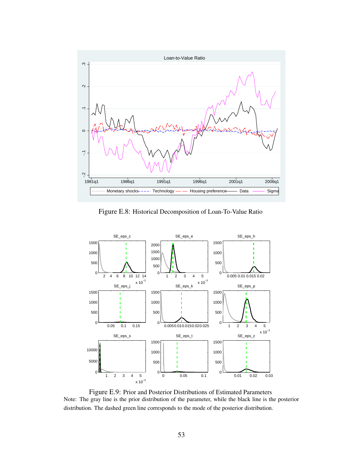<span id="page-54-1"></span>![](_page_54_Figure_0.jpeg)

Figure E.8: Historical Decomposition of Loan-To-Value Ratio

<span id="page-54-0"></span>![](_page_54_Figure_2.jpeg)

Figure E.9: Prior and Posterior Distributions of Estimated Parameters Note: The gray line is the prior distribution of the parameter, while the black line is the posterior distribution. The dashed green line corresponds to the mode of the posterior distribution.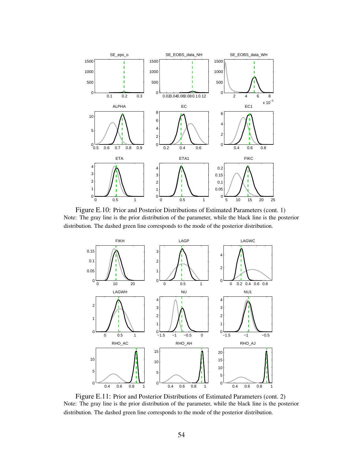![](_page_55_Figure_0.jpeg)

Figure E.10: Prior and Posterior Distributions of Estimated Parameters (cont. 1) Note: The gray line is the prior distribution of the parameter, while the black line is the posterior distribution. The dashed green line corresponds to the mode of the posterior distribution.

![](_page_55_Figure_2.jpeg)

Figure E.11: Prior and Posterior Distributions of Estimated Parameters (cont. 2) Note: The gray line is the prior distribution of the parameter, while the black line is the posterior distribution. The dashed green line corresponds to the mode of the posterior distribution.